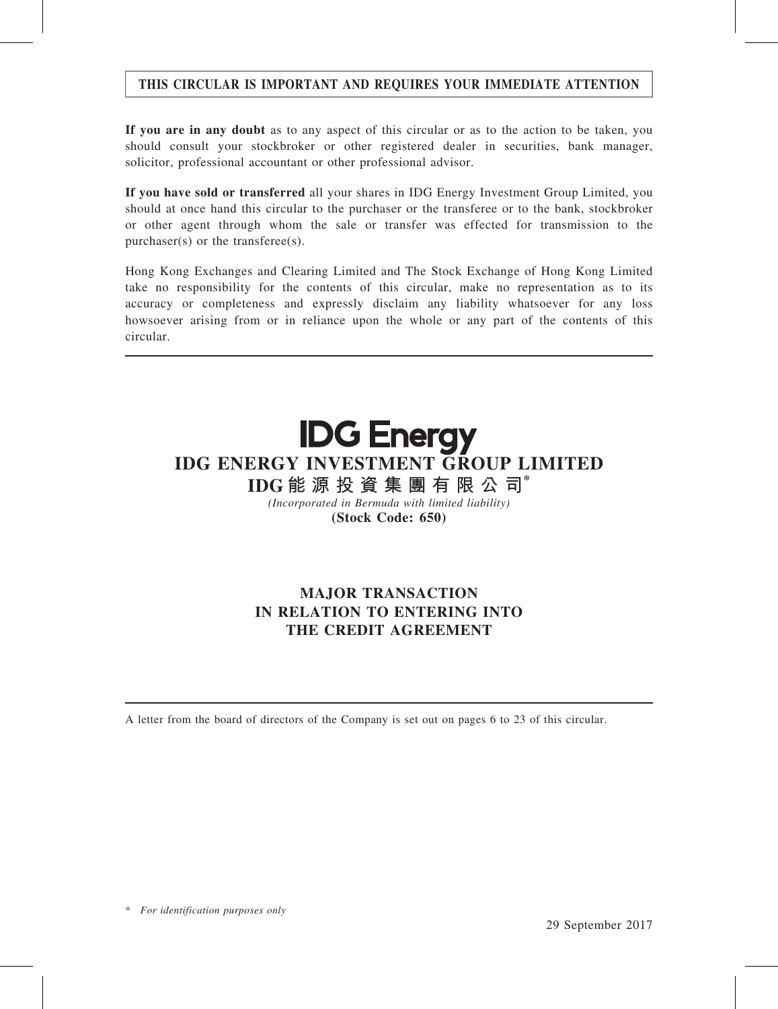# THIS CIRCULAR IS IMPORTANT AND REQUIRES YOUR IMMEDIATE ATTENTION

If you are in any doubt as to any aspect of this circular or as to the action to be taken, you should consult your stockbroker or other registered dealer in securities, bank manager, solicitor, professional accountant or other professional advisor.

If you have sold or transferred all your shares in IDG Energy Investment Group Limited, you should at once hand this circular to the purchaser or the transferee or to the bank, stockbroker or other agent through whom the sale or transfer was effected for transmission to the purchaser(s) or the transferee(s).

Hong Kong Exchanges and Clearing Limited and The Stock Exchange of Hong Kong Limited take no responsibility for the contents of this circular, make no representation as to its accuracy or completeness and expressly disclaim any liability whatsoever for any loss howsoever arising from or in reliance upon the whole or any part of the contents of this circular.

# **IDG Energy** IDG ENERGY INVESTMENT GROUP LIMITED IDG 能 源 投 資 集 團 有 限 公 司\*

(Incorporated in Bermuda with limited liability) (Stock Code: 650)

# MAJOR TRANSACTION IN RELATION TO ENTERING INTO THE CREDIT AGREEMENT

A letter from the board of directors of the Company is set out on pages 6 to 23 of this circular.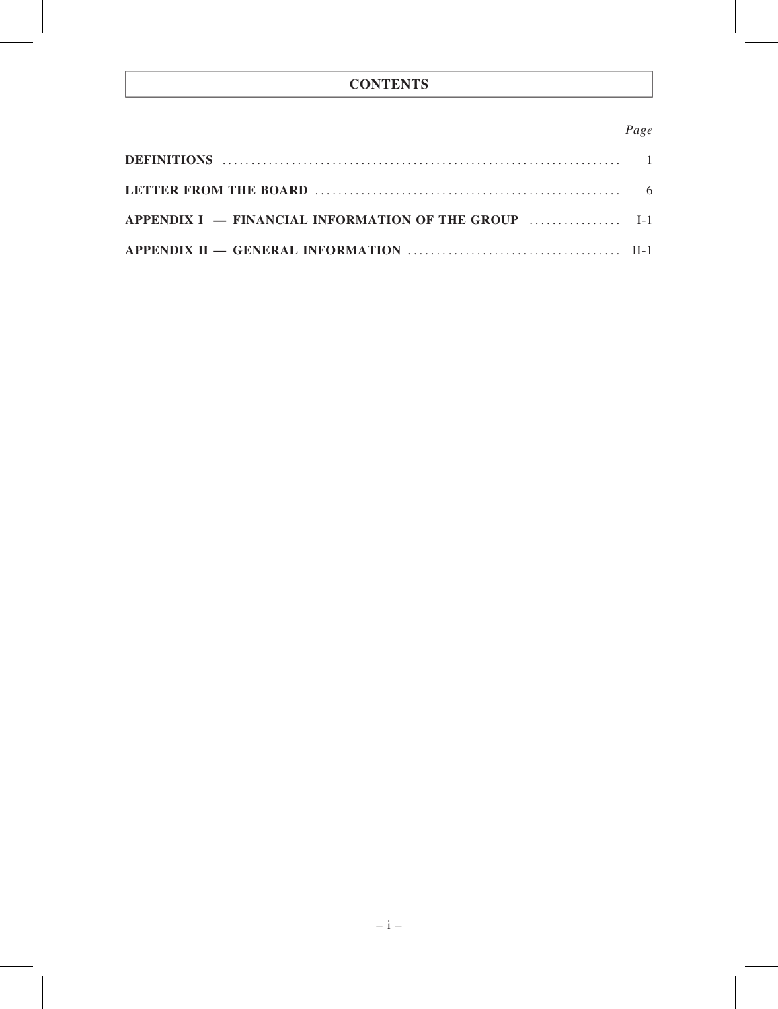# **CONTENTS**

# Page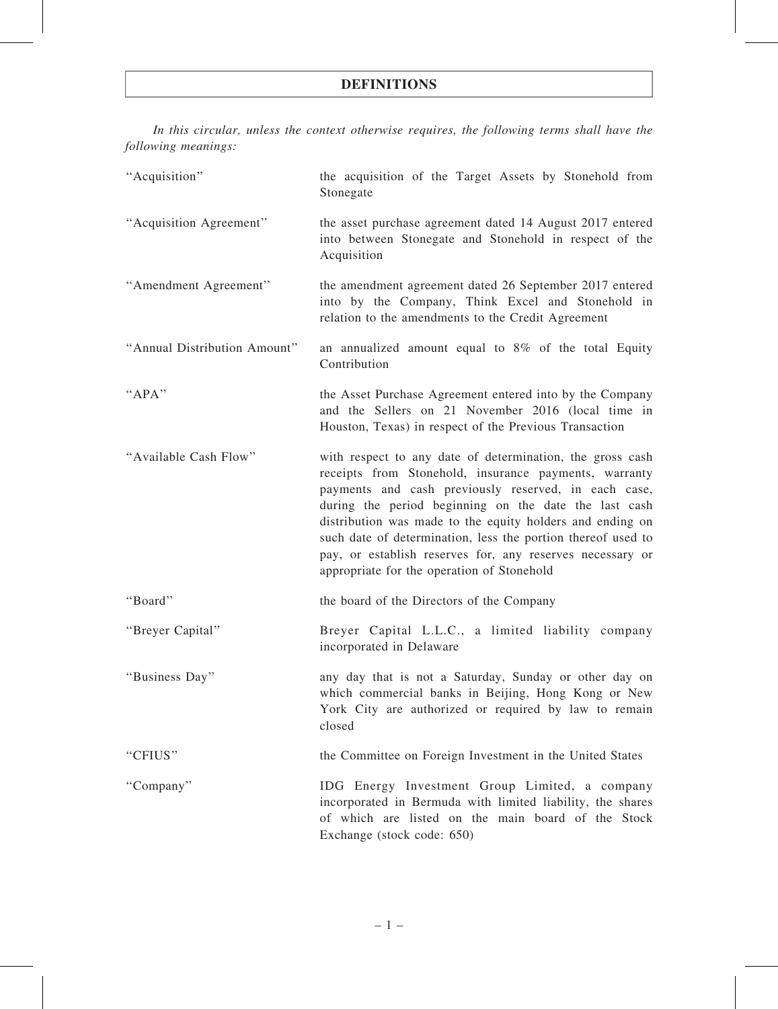In this circular, unless the context otherwise requires, the following terms shall have the following meanings:

| "Acquisition"                | the acquisition of the Target Assets by Stonehold from<br>Stonegate                                                                                                                                                                                                                                                                                                                                                                                                         |
|------------------------------|-----------------------------------------------------------------------------------------------------------------------------------------------------------------------------------------------------------------------------------------------------------------------------------------------------------------------------------------------------------------------------------------------------------------------------------------------------------------------------|
| "Acquisition Agreement"      | the asset purchase agreement dated 14 August 2017 entered<br>into between Stonegate and Stonehold in respect of the<br>Acquisition                                                                                                                                                                                                                                                                                                                                          |
| "Amendment Agreement"        | the amendment agreement dated 26 September 2017 entered<br>into by the Company, Think Excel and Stonehold in<br>relation to the amendments to the Credit Agreement                                                                                                                                                                                                                                                                                                          |
| "Annual Distribution Amount" | an annualized amount equal to $8\%$ of the total Equity<br>Contribution                                                                                                                                                                                                                                                                                                                                                                                                     |
| "APA"                        | the Asset Purchase Agreement entered into by the Company<br>and the Sellers on 21 November 2016 (local time in<br>Houston, Texas) in respect of the Previous Transaction                                                                                                                                                                                                                                                                                                    |
| "Available Cash Flow"        | with respect to any date of determination, the gross cash<br>receipts from Stonehold, insurance payments, warranty<br>payments and cash previously reserved, in each case,<br>during the period beginning on the date the last cash<br>distribution was made to the equity holders and ending on<br>such date of determination, less the portion thereof used to<br>pay, or establish reserves for, any reserves necessary or<br>appropriate for the operation of Stonehold |
| "Board"                      | the board of the Directors of the Company                                                                                                                                                                                                                                                                                                                                                                                                                                   |
| "Breyer Capital"             | Breyer Capital L.L.C., a limited liability company<br>incorporated in Delaware                                                                                                                                                                                                                                                                                                                                                                                              |
| "Business Day"               | any day that is not a Saturday, Sunday or other day on<br>which commercial banks in Beijing, Hong Kong or New<br>York City are authorized or required by law to remain<br>closed                                                                                                                                                                                                                                                                                            |
| "CFIUS"                      | the Committee on Foreign Investment in the United States                                                                                                                                                                                                                                                                                                                                                                                                                    |
| "Company"                    | IDG Energy Investment Group Limited, a company<br>incorporated in Bermuda with limited liability, the shares<br>of which are listed on the main board of the Stock<br>Exchange (stock code: 650)                                                                                                                                                                                                                                                                            |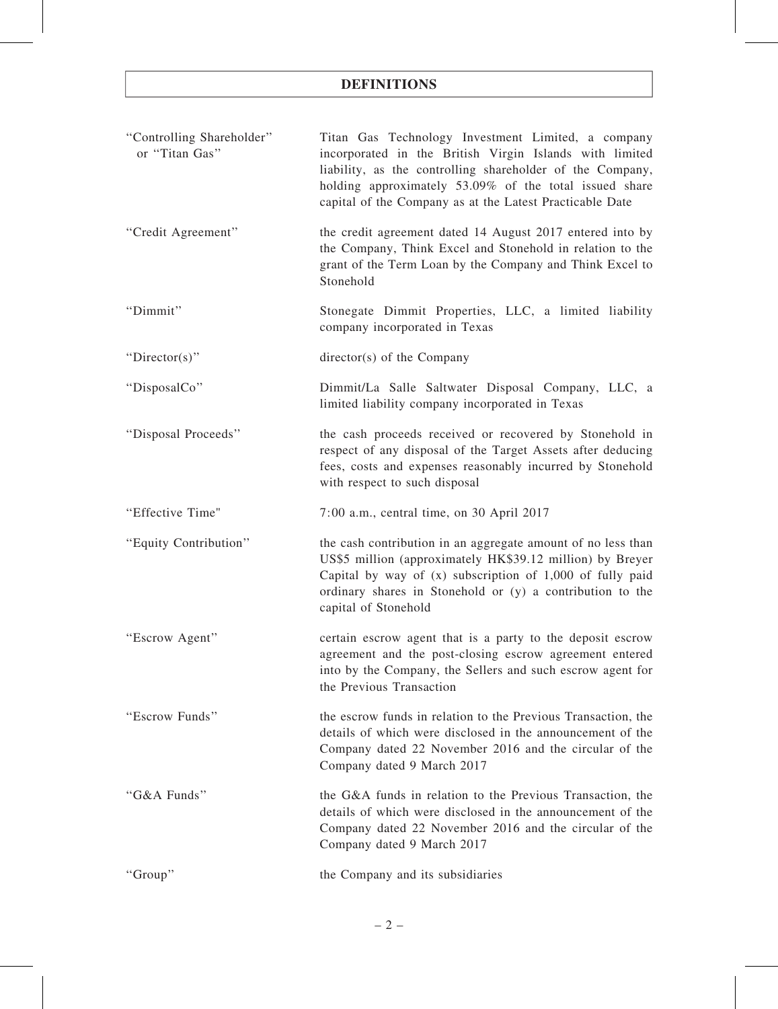| "Controlling Shareholder"<br>or "Titan Gas" | Titan Gas Technology Investment Limited, a company<br>incorporated in the British Virgin Islands with limited<br>liability, as the controlling shareholder of the Company,<br>holding approximately 53.09% of the total issued share<br>capital of the Company as at the Latest Practicable Date |
|---------------------------------------------|--------------------------------------------------------------------------------------------------------------------------------------------------------------------------------------------------------------------------------------------------------------------------------------------------|
| "Credit Agreement"                          | the credit agreement dated 14 August 2017 entered into by<br>the Company, Think Excel and Stonehold in relation to the<br>grant of the Term Loan by the Company and Think Excel to<br>Stonehold                                                                                                  |
| "Dimmit"                                    | Stonegate Dimmit Properties, LLC, a limited liability<br>company incorporated in Texas                                                                                                                                                                                                           |
| "Director(s)"                               | director(s) of the Company                                                                                                                                                                                                                                                                       |
| "DisposalCo"                                | Dimmit/La Salle Saltwater Disposal Company, LLC, a<br>limited liability company incorporated in Texas                                                                                                                                                                                            |
| "Disposal Proceeds"                         | the cash proceeds received or recovered by Stonehold in<br>respect of any disposal of the Target Assets after deducing<br>fees, costs and expenses reasonably incurred by Stonehold<br>with respect to such disposal                                                                             |
| "Effective Time"                            | 7:00 a.m., central time, on 30 April 2017                                                                                                                                                                                                                                                        |
| "Equity Contribution"                       | the cash contribution in an aggregate amount of no less than<br>US\$5 million (approximately HK\$39.12 million) by Breyer<br>Capital by way of $(x)$ subscription of 1,000 of fully paid<br>ordinary shares in Stonehold or (y) a contribution to the<br>capital of Stonehold                    |
| "Escrow Agent"                              | certain escrow agent that is a party to the deposit escrow<br>agreement and the post-closing escrow agreement entered<br>into by the Company, the Sellers and such escrow agent for<br>the Previous Transaction                                                                                  |
| "Escrow Funds"                              | the escrow funds in relation to the Previous Transaction, the<br>details of which were disclosed in the announcement of the<br>Company dated 22 November 2016 and the circular of the<br>Company dated 9 March 2017                                                                              |
| "G&A Funds"                                 | the G&A funds in relation to the Previous Transaction, the<br>details of which were disclosed in the announcement of the<br>Company dated 22 November 2016 and the circular of the<br>Company dated 9 March 2017                                                                                 |
| "Group"                                     | the Company and its subsidiaries                                                                                                                                                                                                                                                                 |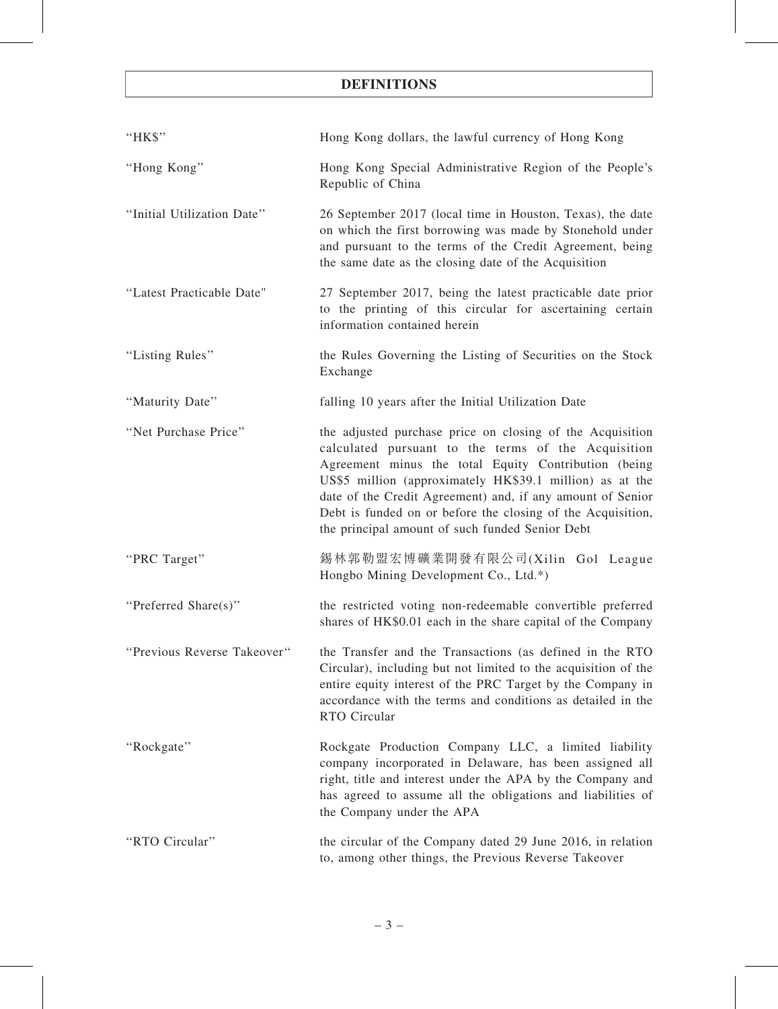| "HK\$"                      | Hong Kong dollars, the lawful currency of Hong Kong                                                                                                                                                                                                                                                                                                                                                                  |
|-----------------------------|----------------------------------------------------------------------------------------------------------------------------------------------------------------------------------------------------------------------------------------------------------------------------------------------------------------------------------------------------------------------------------------------------------------------|
| "Hong Kong"                 | Hong Kong Special Administrative Region of the People's<br>Republic of China                                                                                                                                                                                                                                                                                                                                         |
| "Initial Utilization Date"  | 26 September 2017 (local time in Houston, Texas), the date<br>on which the first borrowing was made by Stonehold under<br>and pursuant to the terms of the Credit Agreement, being<br>the same date as the closing date of the Acquisition                                                                                                                                                                           |
| "Latest Practicable Date"   | 27 September 2017, being the latest practicable date prior<br>to the printing of this circular for ascertaining certain<br>information contained herein                                                                                                                                                                                                                                                              |
| "Listing Rules"             | the Rules Governing the Listing of Securities on the Stock<br>Exchange                                                                                                                                                                                                                                                                                                                                               |
| "Maturity Date"             | falling 10 years after the Initial Utilization Date                                                                                                                                                                                                                                                                                                                                                                  |
| "Net Purchase Price"        | the adjusted purchase price on closing of the Acquisition<br>calculated pursuant to the terms of the Acquisition<br>Agreement minus the total Equity Contribution (being<br>US\$5 million (approximately HK\$39.1 million) as at the<br>date of the Credit Agreement) and, if any amount of Senior<br>Debt is funded on or before the closing of the Acquisition,<br>the principal amount of such funded Senior Debt |
| "PRC Target"                | 錫林郭勒盟宏博礦業開發有限公司(Xilin Gol League<br>Hongbo Mining Development Co., Ltd.*)                                                                                                                                                                                                                                                                                                                                            |
| "Preferred Share(s)"        | the restricted voting non-redeemable convertible preferred<br>shares of HK\$0.01 each in the share capital of the Company                                                                                                                                                                                                                                                                                            |
| "Previous Reverse Takeover" | the Transfer and the Transactions (as defined in the RTO<br>Circular), including but not limited to the acquisition of the<br>entire equity interest of the PRC Target by the Company in<br>accordance with the terms and conditions as detailed in the<br>RTO Circular                                                                                                                                              |
| "Rockgate"                  | Rockgate Production Company LLC, a limited liability<br>company incorporated in Delaware, has been assigned all<br>right, title and interest under the APA by the Company and<br>has agreed to assume all the obligations and liabilities of<br>the Company under the APA                                                                                                                                            |
| "RTO Circular"              | the circular of the Company dated 29 June 2016, in relation<br>to, among other things, the Previous Reverse Takeover                                                                                                                                                                                                                                                                                                 |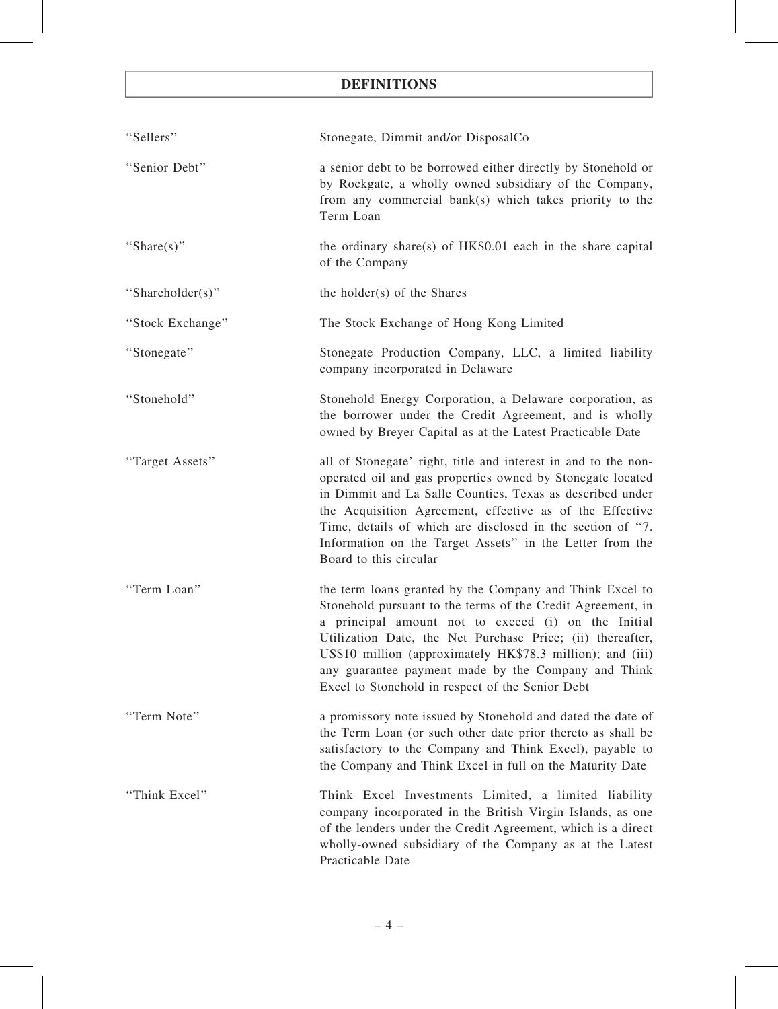| "Sellers"        | Stonegate, Dimmit and/or DisposalCo                                                                                                                                                                                                                                                                                                                                                                                   |
|------------------|-----------------------------------------------------------------------------------------------------------------------------------------------------------------------------------------------------------------------------------------------------------------------------------------------------------------------------------------------------------------------------------------------------------------------|
| "Senior Debt"    | a senior debt to be borrowed either directly by Stonehold or<br>by Rockgate, a wholly owned subsidiary of the Company,<br>from any commercial bank(s) which takes priority to the<br>Term Loan                                                                                                                                                                                                                        |
| "Share(s)"       | the ordinary share(s) of $HK$0.01$ each in the share capital<br>of the Company                                                                                                                                                                                                                                                                                                                                        |
| "Shareholder(s)" | the holder(s) of the Shares                                                                                                                                                                                                                                                                                                                                                                                           |
| "Stock Exchange" | The Stock Exchange of Hong Kong Limited                                                                                                                                                                                                                                                                                                                                                                               |
| "Stonegate"      | Stonegate Production Company, LLC, a limited liability<br>company incorporated in Delaware                                                                                                                                                                                                                                                                                                                            |
| "Stonehold"      | Stonehold Energy Corporation, a Delaware corporation, as<br>the borrower under the Credit Agreement, and is wholly<br>owned by Breyer Capital as at the Latest Practicable Date                                                                                                                                                                                                                                       |
| "Target Assets"  | all of Stonegate' right, title and interest in and to the non-<br>operated oil and gas properties owned by Stonegate located<br>in Dimmit and La Salle Counties, Texas as described under<br>the Acquisition Agreement, effective as of the Effective<br>Time, details of which are disclosed in the section of "7.<br>Information on the Target Assets" in the Letter from the<br>Board to this circular             |
| "Term Loan"      | the term loans granted by the Company and Think Excel to<br>Stonehold pursuant to the terms of the Credit Agreement, in<br>a principal amount not to exceed (i) on the Initial<br>Utilization Date, the Net Purchase Price; (ii) thereafter,<br>US\$10 million (approximately HK\$78.3 million); and (iii)<br>any guarantee payment made by the Company and Think<br>Excel to Stonehold in respect of the Senior Debt |
| "Term Note"      | a promissory note issued by Stonehold and dated the date of<br>the Term Loan (or such other date prior thereto as shall be<br>satisfactory to the Company and Think Excel), payable to<br>the Company and Think Excel in full on the Maturity Date                                                                                                                                                                    |
| "Think Excel"    | Think Excel Investments Limited, a limited liability<br>company incorporated in the British Virgin Islands, as one<br>of the lenders under the Credit Agreement, which is a direct<br>wholly-owned subsidiary of the Company as at the Latest<br>Practicable Date                                                                                                                                                     |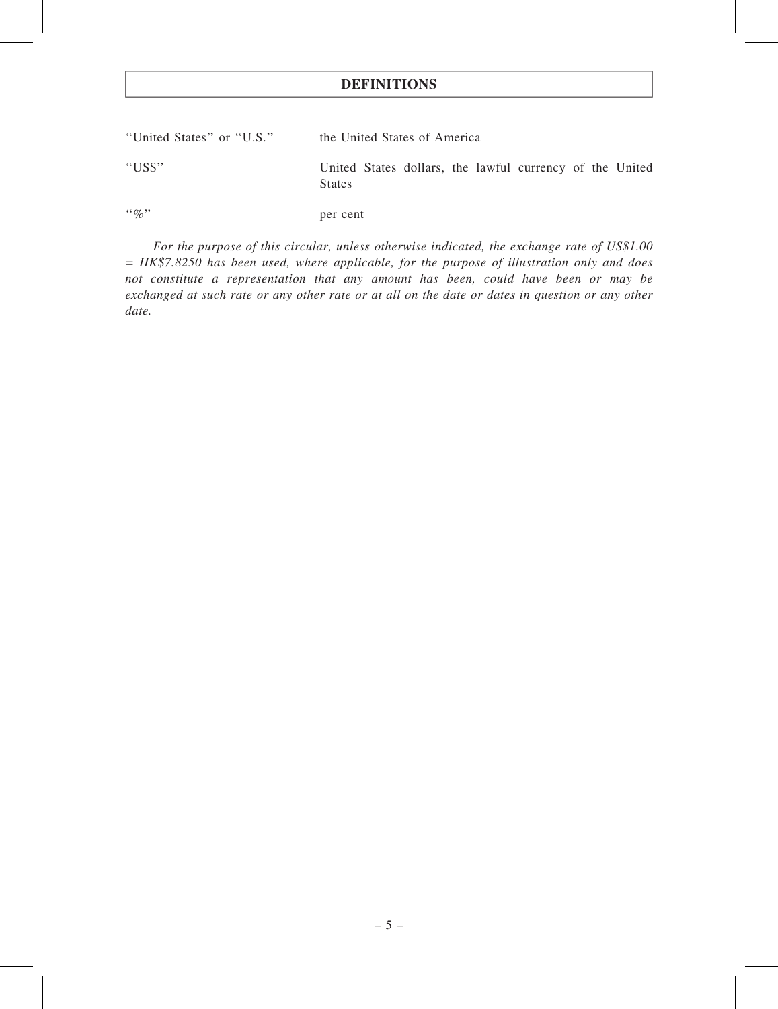| "United States" or "U.S." | the United States of America                                              |  |  |  |
|---------------------------|---------------------------------------------------------------------------|--|--|--|
| "US\$"                    | United States dollars, the lawful currency of the United<br><b>States</b> |  |  |  |
| $\lq\lq q_0$ "            | per cent                                                                  |  |  |  |

For the purpose of this circular, unless otherwise indicated, the exchange rate of US\$1.00 = HK\$7.8250 has been used, where applicable, for the purpose of illustration only and does not constitute a representation that any amount has been, could have been or may be exchanged at such rate or any other rate or at all on the date or dates in question or any other date.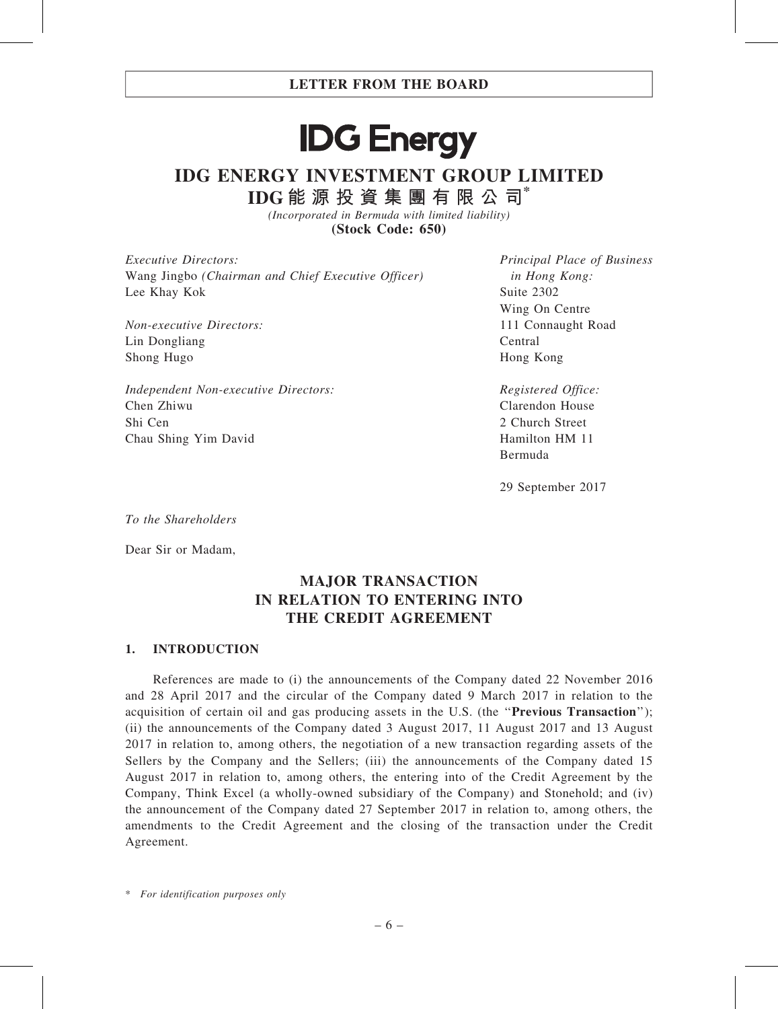# **IDG Energy**

# IDG ENERGY INVESTMENT GROUP LIMITED IDG 能 源 投 資 集 團 有 限 公 司\*

(Incorporated in Bermuda with limited liability) (Stock Code: 650)

Executive Directors: Wang Jingbo (Chairman and Chief Executive Officer) Lee Khay Kok

Non-executive Directors: Lin Dongliang Shong Hugo

Independent Non-executive Directors: Chen Zhiwu Shi Cen Chau Shing Yim David

Principal Place of Business in Hong Kong: Suite 2302 Wing On Centre 111 Connaught Road Central Hong Kong

Registered Office: Clarendon House 2 Church Street Hamilton HM 11 Bermuda

29 September 2017

To the Shareholders

Dear Sir or Madam,

# MAJOR TRANSACTION IN RELATION TO ENTERING INTO THE CREDIT AGREEMENT

# 1. INTRODUCTION

References are made to (i) the announcements of the Company dated 22 November 2016 and 28 April 2017 and the circular of the Company dated 9 March 2017 in relation to the acquisition of certain oil and gas producing assets in the U.S. (the "**Previous Transaction**"); (ii) the announcements of the Company dated 3 August 2017, 11 August 2017 and 13 August 2017 in relation to, among others, the negotiation of a new transaction regarding assets of the Sellers by the Company and the Sellers; (iii) the announcements of the Company dated 15 August 2017 in relation to, among others, the entering into of the Credit Agreement by the Company, Think Excel (a wholly-owned subsidiary of the Company) and Stonehold; and (iv) the announcement of the Company dated 27 September 2017 in relation to, among others, the amendments to the Credit Agreement and the closing of the transaction under the Credit Agreement.

\* For identification purposes only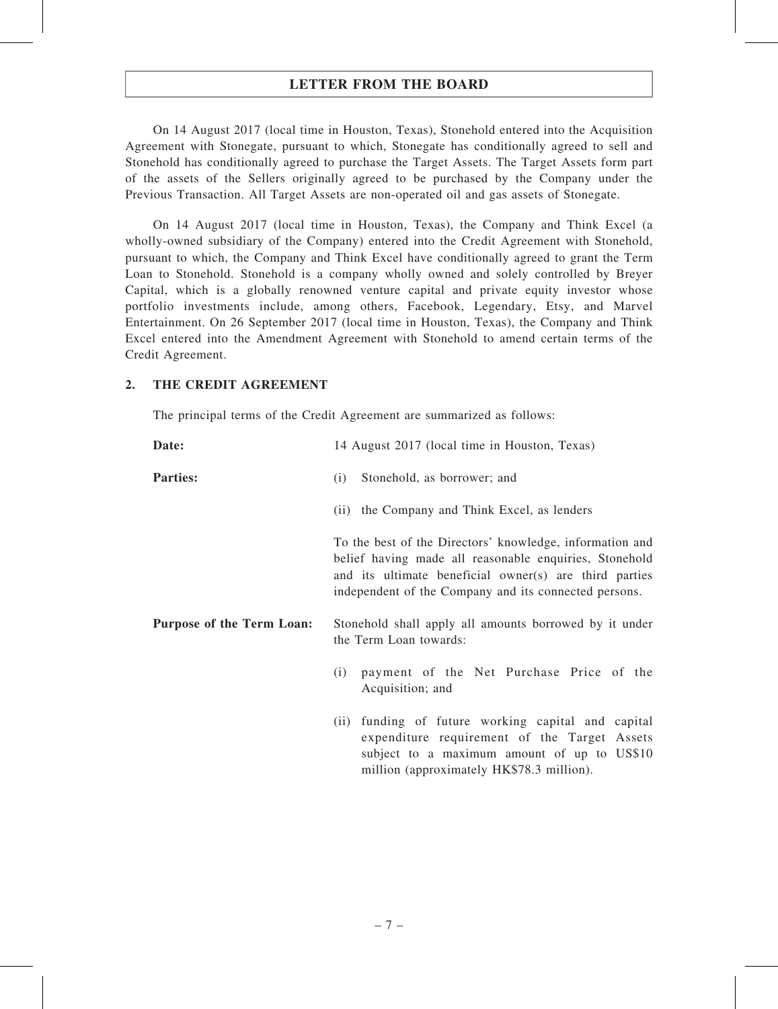On 14 August 2017 (local time in Houston, Texas), Stonehold entered into the Acquisition Agreement with Stonegate, pursuant to which, Stonegate has conditionally agreed to sell and Stonehold has conditionally agreed to purchase the Target Assets. The Target Assets form part of the assets of the Sellers originally agreed to be purchased by the Company under the Previous Transaction. All Target Assets are non-operated oil and gas assets of Stonegate.

On 14 August 2017 (local time in Houston, Texas), the Company and Think Excel (a wholly-owned subsidiary of the Company) entered into the Credit Agreement with Stonehold, pursuant to which, the Company and Think Excel have conditionally agreed to grant the Term Loan to Stonehold. Stonehold is a company wholly owned and solely controlled by Breyer Capital, which is a globally renowned venture capital and private equity investor whose portfolio investments include, among others, Facebook, Legendary, Etsy, and Marvel Entertainment. On 26 September 2017 (local time in Houston, Texas), the Company and Think Excel entered into the Amendment Agreement with Stonehold to amend certain terms of the Credit Agreement.

# 2. THE CREDIT AGREEMENT

The principal terms of the Credit Agreement are summarized as follows:

| Date:                            | 14 August 2017 (local time in Houston, Texas)                                                                                                                                                                                         |  |  |  |
|----------------------------------|---------------------------------------------------------------------------------------------------------------------------------------------------------------------------------------------------------------------------------------|--|--|--|
| <b>Parties:</b>                  | Stonehold, as borrower; and<br>(i)                                                                                                                                                                                                    |  |  |  |
|                                  | (ii) the Company and Think Excel, as lenders                                                                                                                                                                                          |  |  |  |
|                                  | To the best of the Directors' knowledge, information and<br>belief having made all reasonable enquiries, Stonehold<br>and its ultimate beneficial owner(s) are third parties<br>independent of the Company and its connected persons. |  |  |  |
| <b>Purpose of the Term Loan:</b> | Stonehold shall apply all amounts borrowed by it under<br>the Term Loan towards:                                                                                                                                                      |  |  |  |
|                                  | payment of the Net Purchase Price of the<br>(i)<br>Acquisition; and                                                                                                                                                                   |  |  |  |
|                                  | funding of future working capital and capital<br>(ii)<br>expenditure requirement of the Target Assets<br>subject to a maximum amount of up to US\$10<br>million (approximately HK\$78.3 million).                                     |  |  |  |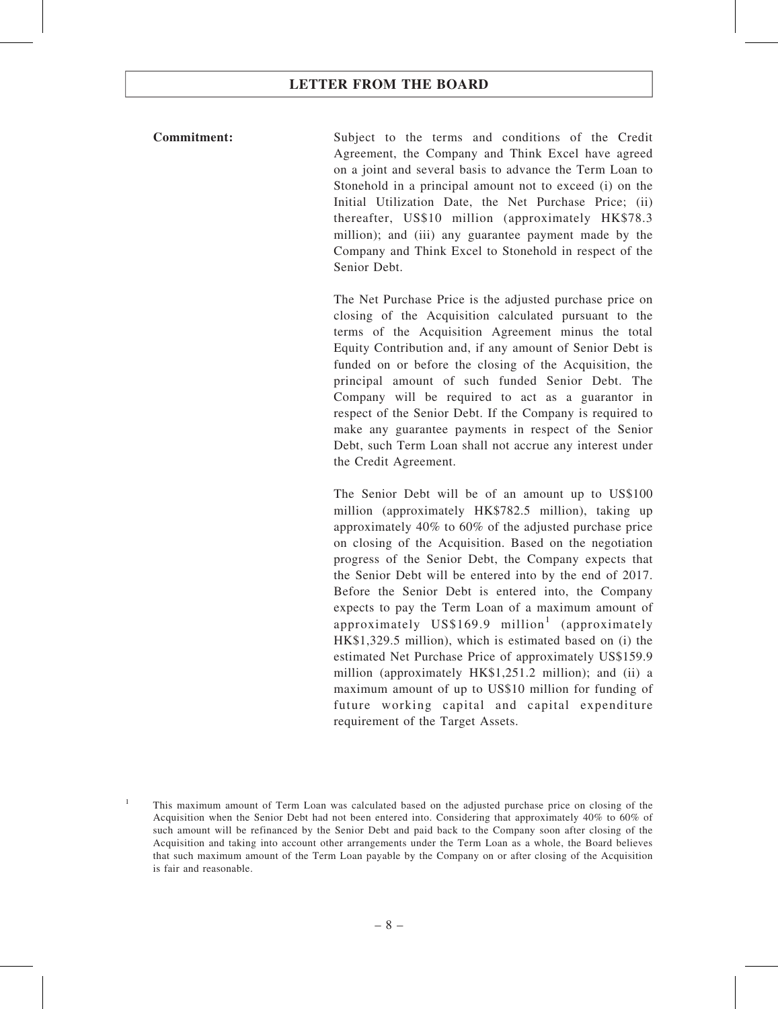Commitment: Subject to the terms and conditions of the Credit Agreement, the Company and Think Excel have agreed on a joint and several basis to advance the Term Loan to Stonehold in a principal amount not to exceed (i) on the Initial Utilization Date, the Net Purchase Price; (ii) thereafter, US\$10 million (approximately HK\$78.3 million); and (iii) any guarantee payment made by the Company and Think Excel to Stonehold in respect of the Senior Debt.

> The Net Purchase Price is the adjusted purchase price on closing of the Acquisition calculated pursuant to the terms of the Acquisition Agreement minus the total Equity Contribution and, if any amount of Senior Debt is funded on or before the closing of the Acquisition, the principal amount of such funded Senior Debt. The Company will be required to act as a guarantor in respect of the Senior Debt. If the Company is required to make any guarantee payments in respect of the Senior Debt, such Term Loan shall not accrue any interest under the Credit Agreement.

> The Senior Debt will be of an amount up to US\$100 million (approximately HK\$782.5 million), taking up approximately 40% to 60% of the adjusted purchase price on closing of the Acquisition. Based on the negotiation progress of the Senior Debt, the Company expects that the Senior Debt will be entered into by the end of 2017. Before the Senior Debt is entered into, the Company expects to pay the Term Loan of a maximum amount of approximately  $US$169.9$  million<sup>1</sup> (approximately HK\$1,329.5 million), which is estimated based on (i) the estimated Net Purchase Price of approximately US\$159.9 million (approximately HK\$1,251.2 million); and (ii) a maximum amount of up to US\$10 million for funding of future working capital and capital expenditure requirement of the Target Assets.

<sup>&</sup>lt;sup>1</sup> This maximum amount of Term Loan was calculated based on the adjusted purchase price on closing of the Acquisition when the Senior Debt had not been entered into. Considering that approximately 40% to 60% of such amount will be refinanced by the Senior Debt and paid back to the Company soon after closing of the Acquisition and taking into account other arrangements under the Term Loan as a whole, the Board believes that such maximum amount of the Term Loan payable by the Company on or after closing of the Acquisition is fair and reasonable.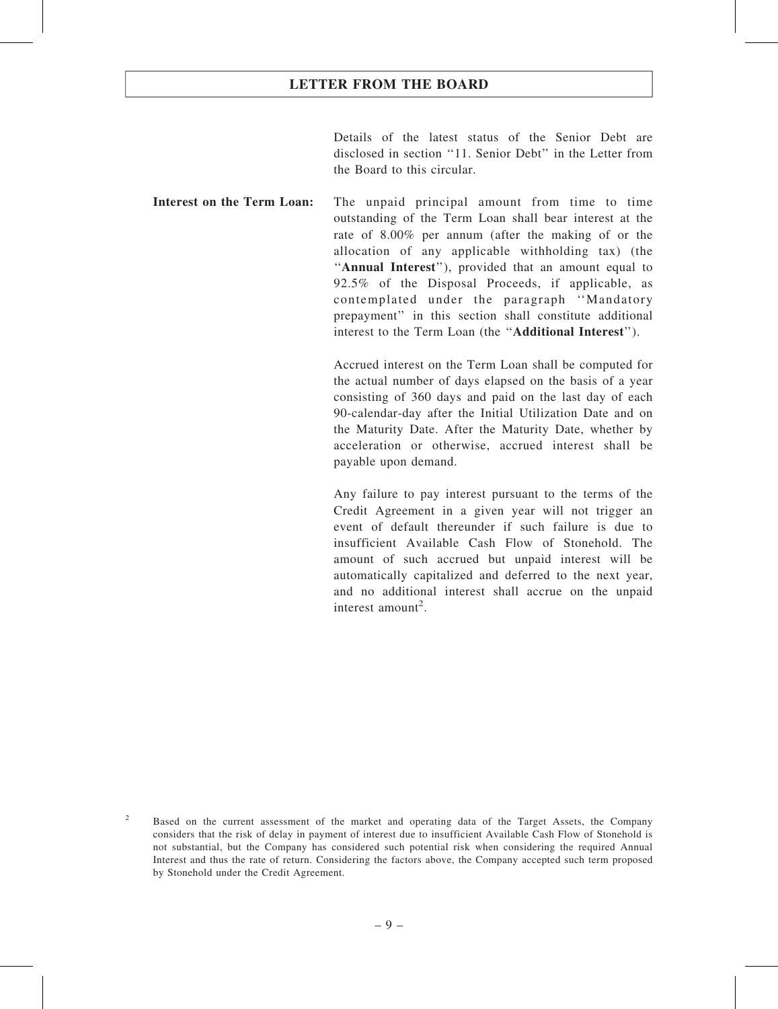Details of the latest status of the Senior Debt are disclosed in section ''11. Senior Debt'' in the Letter from the Board to this circular.

Interest on the Term Loan: The unpaid principal amount from time to time outstanding of the Term Loan shall bear interest at the rate of 8.00% per annum (after the making of or the allocation of any applicable withholding tax) (the ''Annual Interest''), provided that an amount equal to 92.5% of the Disposal Proceeds, if applicable, as contemplated under the paragraph ''Mandatory prepayment'' in this section shall constitute additional interest to the Term Loan (the ''Additional Interest'').

> Accrued interest on the Term Loan shall be computed for the actual number of days elapsed on the basis of a year consisting of 360 days and paid on the last day of each 90-calendar-day after the Initial Utilization Date and on the Maturity Date. After the Maturity Date, whether by acceleration or otherwise, accrued interest shall be payable upon demand.

> Any failure to pay interest pursuant to the terms of the Credit Agreement in a given year will not trigger an event of default thereunder if such failure is due to insufficient Available Cash Flow of Stonehold. The amount of such accrued but unpaid interest will be automatically capitalized and deferred to the next year, and no additional interest shall accrue on the unpaid interest amount<sup>2</sup>.

<sup>2</sup> Based on the current assessment of the market and operating data of the Target Assets, the Company considers that the risk of delay in payment of interest due to insufficient Available Cash Flow of Stonehold is not substantial, but the Company has considered such potential risk when considering the required Annual Interest and thus the rate of return. Considering the factors above, the Company accepted such term proposed by Stonehold under the Credit Agreement.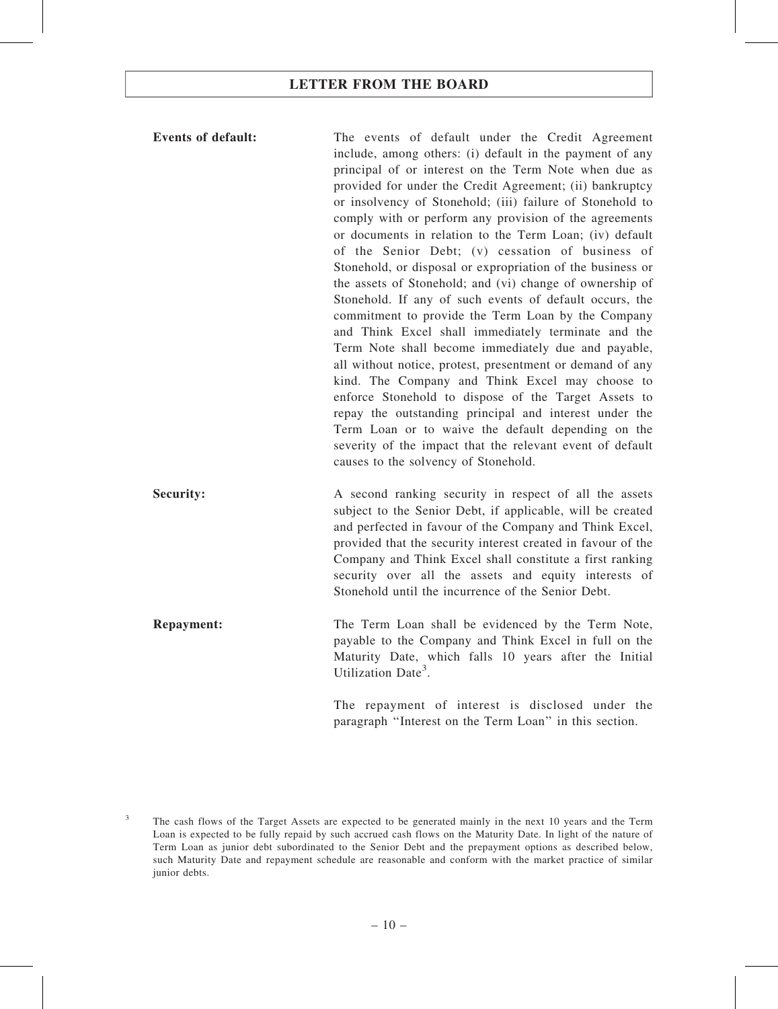subject to the Senior Debt, if applicable, will be created and perfected in favour of the Company and Think Excel, provided that the security interest created in favour of the Company and Think Excel shall constitute a first ranking security over all the assets and equity interests of Stonehold until the incurrence of the Senior Debt.

Repayment: The Term Loan shall be evidenced by the Term Note, payable to the Company and Think Excel in full on the Maturity Date, which falls 10 years after the Initial Utilization Date<sup>3</sup>.

> The repayment of interest is disclosed under the paragraph ''Interest on the Term Loan'' in this section.

<sup>&</sup>lt;sup>3</sup> The cash flows of the Target Assets are expected to be generated mainly in the next 10 years and the Term Loan is expected to be fully repaid by such accrued cash flows on the Maturity Date. In light of the nature of Term Loan as junior debt subordinated to the Senior Debt and the prepayment options as described below, such Maturity Date and repayment schedule are reasonable and conform with the market practice of similar junior debts.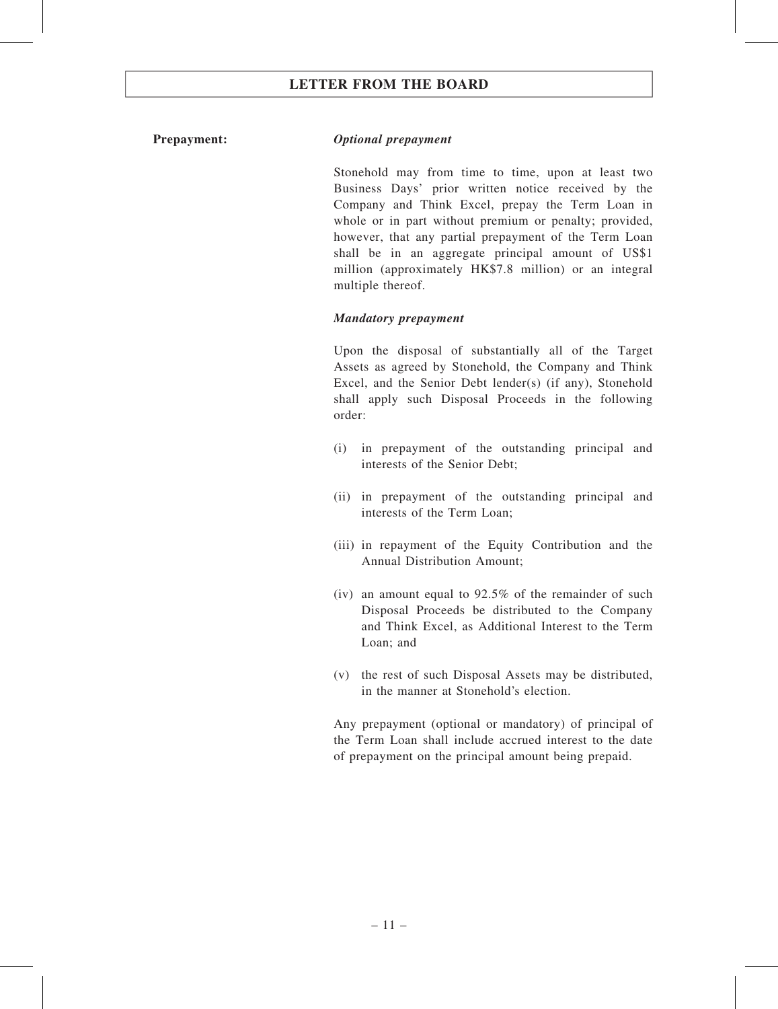# Prepayment: Optional prepayment

Stonehold may from time to time, upon at least two Business Days' prior written notice received by the Company and Think Excel, prepay the Term Loan in whole or in part without premium or penalty; provided, however, that any partial prepayment of the Term Loan shall be in an aggregate principal amount of US\$1 million (approximately HK\$7.8 million) or an integral multiple thereof.

# Mandatory prepayment

Upon the disposal of substantially all of the Target Assets as agreed by Stonehold, the Company and Think Excel, and the Senior Debt lender(s) (if any), Stonehold shall apply such Disposal Proceeds in the following order:

- (i) in prepayment of the outstanding principal and interests of the Senior Debt;
- (ii) in prepayment of the outstanding principal and interests of the Term Loan;
- (iii) in repayment of the Equity Contribution and the Annual Distribution Amount;
- (iv) an amount equal to 92.5% of the remainder of such Disposal Proceeds be distributed to the Company and Think Excel, as Additional Interest to the Term Loan; and
- (v) the rest of such Disposal Assets may be distributed, in the manner at Stonehold's election.

Any prepayment (optional or mandatory) of principal of the Term Loan shall include accrued interest to the date of prepayment on the principal amount being prepaid.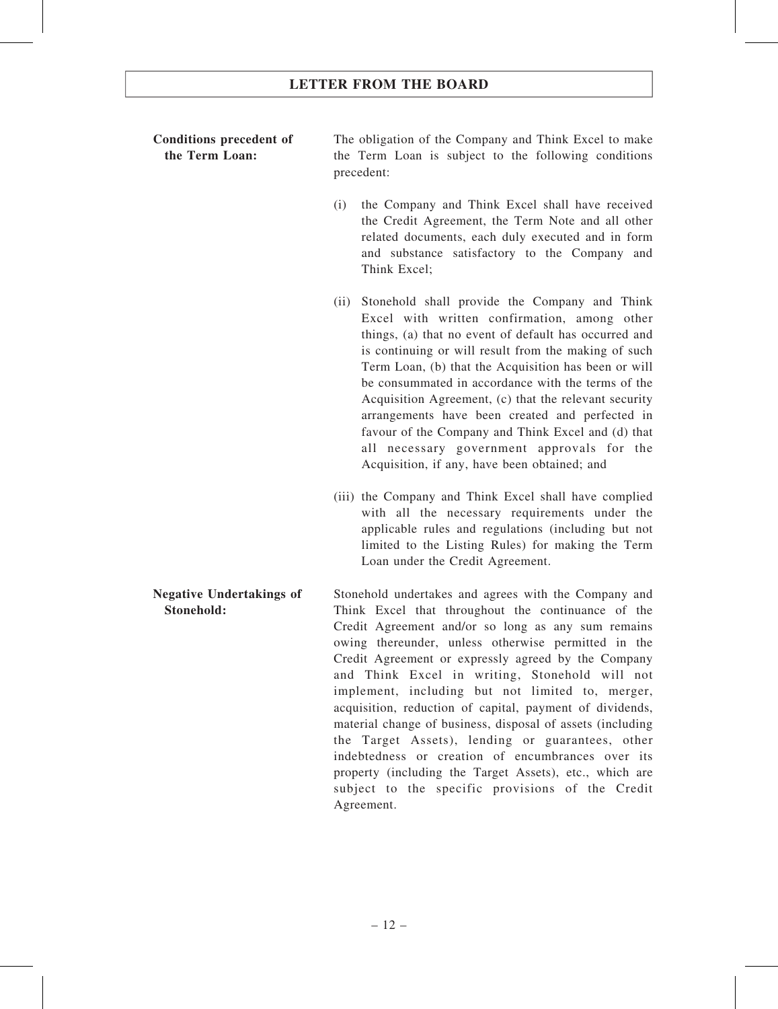# Conditions precedent of the Term Loan:

The obligation of the Company and Think Excel to make the Term Loan is subject to the following conditions precedent:

- (i) the Company and Think Excel shall have received the Credit Agreement, the Term Note and all other related documents, each duly executed and in form and substance satisfactory to the Company and Think Excel;
- (ii) Stonehold shall provide the Company and Think Excel with written confirmation, among other things, (a) that no event of default has occurred and is continuing or will result from the making of such Term Loan, (b) that the Acquisition has been or will be consummated in accordance with the terms of the Acquisition Agreement, (c) that the relevant security arrangements have been created and perfected in favour of the Company and Think Excel and (d) that all necessary government approvals for the Acquisition, if any, have been obtained; and
- (iii) the Company and Think Excel shall have complied with all the necessary requirements under the applicable rules and regulations (including but not limited to the Listing Rules) for making the Term Loan under the Credit Agreement.

Negative Undertakings of Stonehold: Stonehold undertakes and agrees with the Company and Think Excel that throughout the continuance of the Credit Agreement and/or so long as any sum remains owing thereunder, unless otherwise permitted in the Credit Agreement or expressly agreed by the Company and Think Excel in writing, Stonehold will not implement, including but not limited to, merger, acquisition, reduction of capital, payment of dividends, material change of business, disposal of assets (including the Target Assets), lending or guarantees, other indebtedness or creation of encumbrances over its property (including the Target Assets), etc., which are subject to the specific provisions of the Credit Agreement.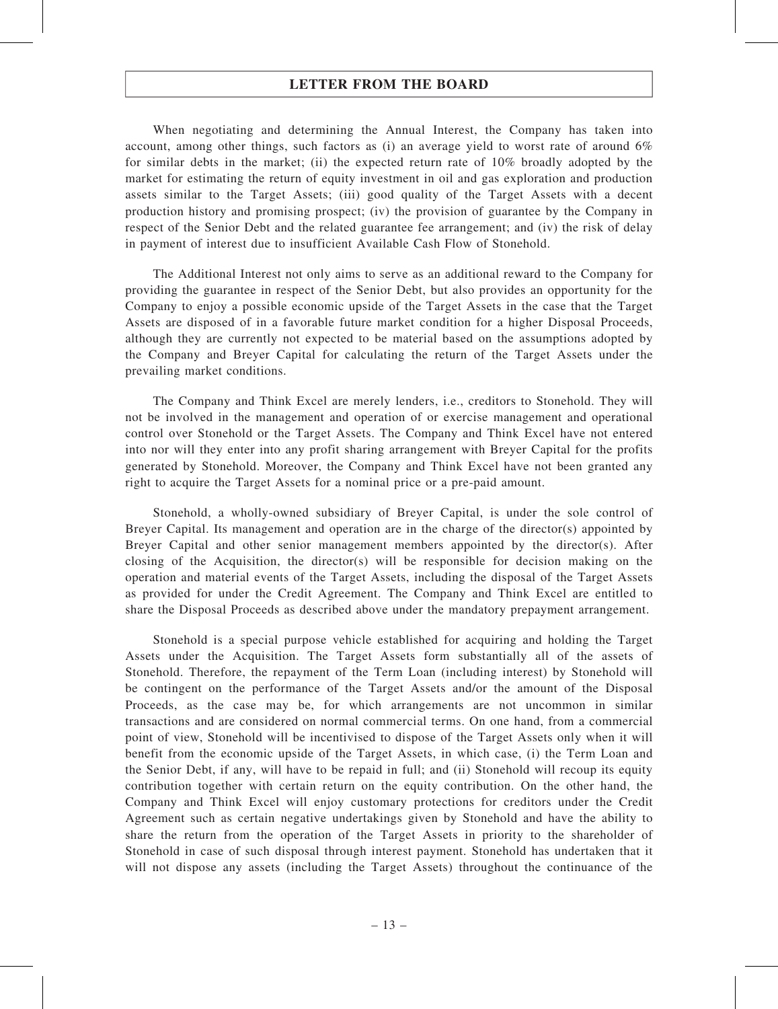When negotiating and determining the Annual Interest, the Company has taken into account, among other things, such factors as (i) an average yield to worst rate of around 6% for similar debts in the market; (ii) the expected return rate of 10% broadly adopted by the market for estimating the return of equity investment in oil and gas exploration and production assets similar to the Target Assets; (iii) good quality of the Target Assets with a decent production history and promising prospect; (iv) the provision of guarantee by the Company in respect of the Senior Debt and the related guarantee fee arrangement; and (iv) the risk of delay in payment of interest due to insufficient Available Cash Flow of Stonehold.

The Additional Interest not only aims to serve as an additional reward to the Company for providing the guarantee in respect of the Senior Debt, but also provides an opportunity for the Company to enjoy a possible economic upside of the Target Assets in the case that the Target Assets are disposed of in a favorable future market condition for a higher Disposal Proceeds, although they are currently not expected to be material based on the assumptions adopted by the Company and Breyer Capital for calculating the return of the Target Assets under the prevailing market conditions.

The Company and Think Excel are merely lenders, i.e., creditors to Stonehold. They will not be involved in the management and operation of or exercise management and operational control over Stonehold or the Target Assets. The Company and Think Excel have not entered into nor will they enter into any profit sharing arrangement with Breyer Capital for the profits generated by Stonehold. Moreover, the Company and Think Excel have not been granted any right to acquire the Target Assets for a nominal price or a pre-paid amount.

Stonehold, a wholly-owned subsidiary of Breyer Capital, is under the sole control of Breyer Capital. Its management and operation are in the charge of the director(s) appointed by Breyer Capital and other senior management members appointed by the director(s). After closing of the Acquisition, the director(s) will be responsible for decision making on the operation and material events of the Target Assets, including the disposal of the Target Assets as provided for under the Credit Agreement. The Company and Think Excel are entitled to share the Disposal Proceeds as described above under the mandatory prepayment arrangement.

Stonehold is a special purpose vehicle established for acquiring and holding the Target Assets under the Acquisition. The Target Assets form substantially all of the assets of Stonehold. Therefore, the repayment of the Term Loan (including interest) by Stonehold will be contingent on the performance of the Target Assets and/or the amount of the Disposal Proceeds, as the case may be, for which arrangements are not uncommon in similar transactions and are considered on normal commercial terms. On one hand, from a commercial point of view, Stonehold will be incentivised to dispose of the Target Assets only when it will benefit from the economic upside of the Target Assets, in which case, (i) the Term Loan and the Senior Debt, if any, will have to be repaid in full; and (ii) Stonehold will recoup its equity contribution together with certain return on the equity contribution. On the other hand, the Company and Think Excel will enjoy customary protections for creditors under the Credit Agreement such as certain negative undertakings given by Stonehold and have the ability to share the return from the operation of the Target Assets in priority to the shareholder of Stonehold in case of such disposal through interest payment. Stonehold has undertaken that it will not dispose any assets (including the Target Assets) throughout the continuance of the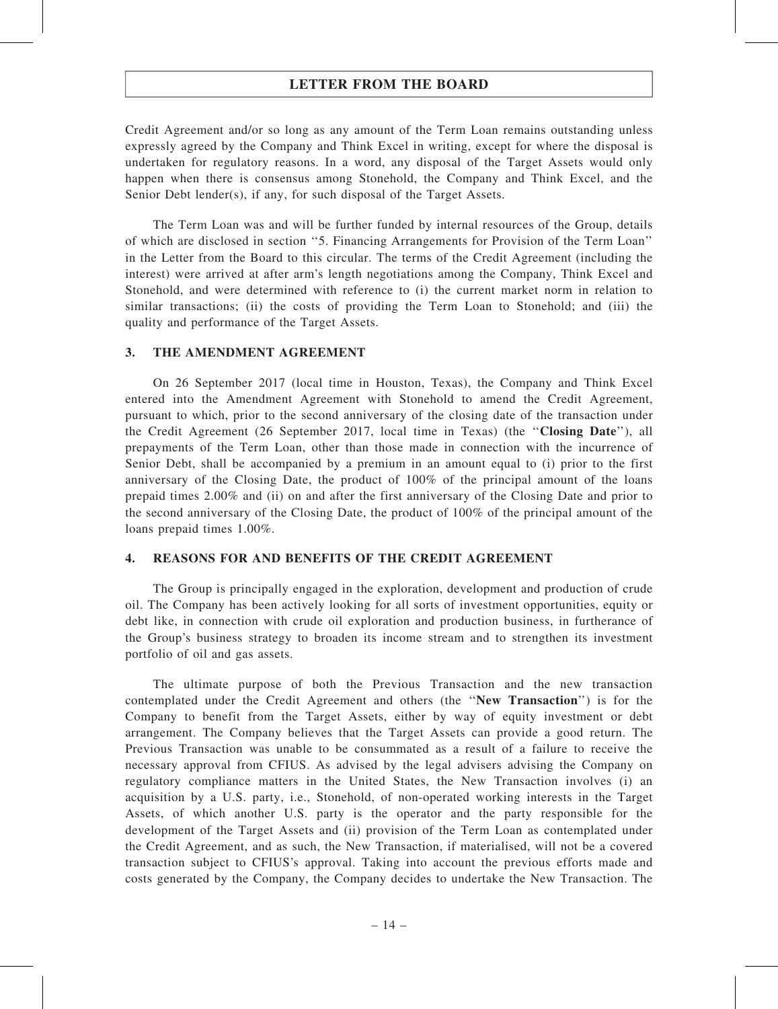Credit Agreement and/or so long as any amount of the Term Loan remains outstanding unless expressly agreed by the Company and Think Excel in writing, except for where the disposal is undertaken for regulatory reasons. In a word, any disposal of the Target Assets would only happen when there is consensus among Stonehold, the Company and Think Excel, and the Senior Debt lender(s), if any, for such disposal of the Target Assets.

The Term Loan was and will be further funded by internal resources of the Group, details of which are disclosed in section ''5. Financing Arrangements for Provision of the Term Loan'' in the Letter from the Board to this circular. The terms of the Credit Agreement (including the interest) were arrived at after arm's length negotiations among the Company, Think Excel and Stonehold, and were determined with reference to (i) the current market norm in relation to similar transactions; (ii) the costs of providing the Term Loan to Stonehold; and (iii) the quality and performance of the Target Assets.

#### 3. THE AMENDMENT AGREEMENT

On 26 September 2017 (local time in Houston, Texas), the Company and Think Excel entered into the Amendment Agreement with Stonehold to amend the Credit Agreement, pursuant to which, prior to the second anniversary of the closing date of the transaction under the Credit Agreement (26 September 2017, local time in Texas) (the ''Closing Date''), all prepayments of the Term Loan, other than those made in connection with the incurrence of Senior Debt, shall be accompanied by a premium in an amount equal to (i) prior to the first anniversary of the Closing Date, the product of 100% of the principal amount of the loans prepaid times 2.00% and (ii) on and after the first anniversary of the Closing Date and prior to the second anniversary of the Closing Date, the product of 100% of the principal amount of the loans prepaid times 1.00%.

### 4. REASONS FOR AND BENEFITS OF THE CREDIT AGREEMENT

The Group is principally engaged in the exploration, development and production of crude oil. The Company has been actively looking for all sorts of investment opportunities, equity or debt like, in connection with crude oil exploration and production business, in furtherance of the Group's business strategy to broaden its income stream and to strengthen its investment portfolio of oil and gas assets.

The ultimate purpose of both the Previous Transaction and the new transaction contemplated under the Credit Agreement and others (the ''New Transaction'') is for the Company to benefit from the Target Assets, either by way of equity investment or debt arrangement. The Company believes that the Target Assets can provide a good return. The Previous Transaction was unable to be consummated as a result of a failure to receive the necessary approval from CFIUS. As advised by the legal advisers advising the Company on regulatory compliance matters in the United States, the New Transaction involves (i) an acquisition by a U.S. party, i.e., Stonehold, of non-operated working interests in the Target Assets, of which another U.S. party is the operator and the party responsible for the development of the Target Assets and (ii) provision of the Term Loan as contemplated under the Credit Agreement, and as such, the New Transaction, if materialised, will not be a covered transaction subject to CFIUS's approval. Taking into account the previous efforts made and costs generated by the Company, the Company decides to undertake the New Transaction. The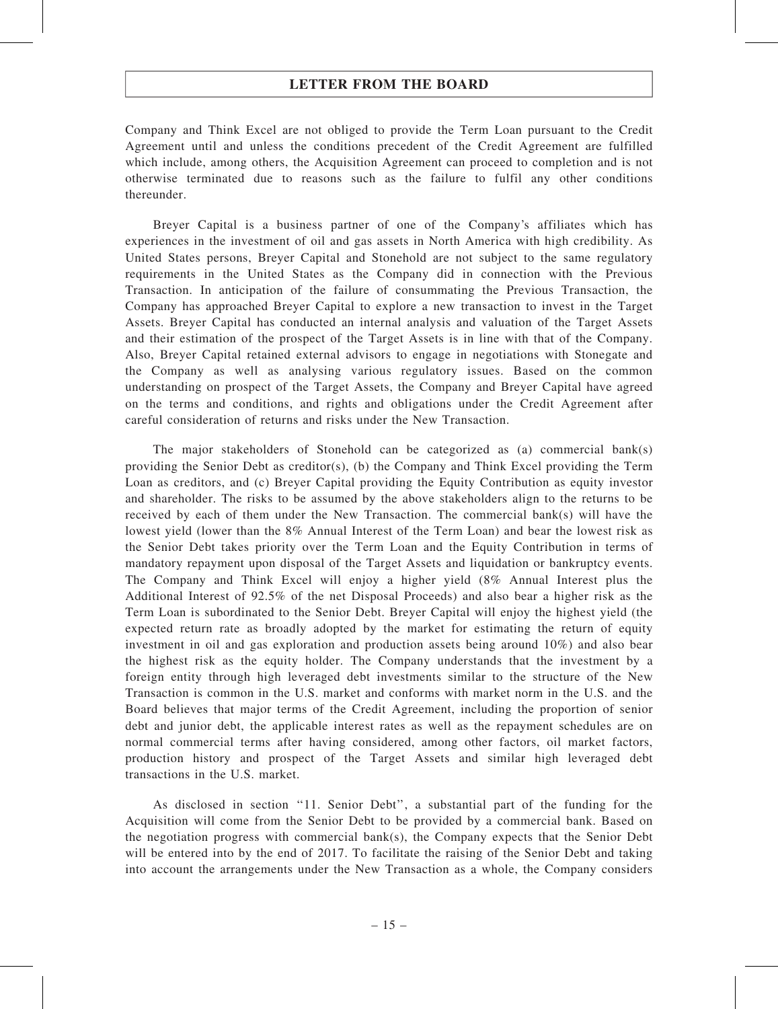Company and Think Excel are not obliged to provide the Term Loan pursuant to the Credit Agreement until and unless the conditions precedent of the Credit Agreement are fulfilled which include, among others, the Acquisition Agreement can proceed to completion and is not otherwise terminated due to reasons such as the failure to fulfil any other conditions thereunder.

Breyer Capital is a business partner of one of the Company's affiliates which has experiences in the investment of oil and gas assets in North America with high credibility. As United States persons, Breyer Capital and Stonehold are not subject to the same regulatory requirements in the United States as the Company did in connection with the Previous Transaction. In anticipation of the failure of consummating the Previous Transaction, the Company has approached Breyer Capital to explore a new transaction to invest in the Target Assets. Breyer Capital has conducted an internal analysis and valuation of the Target Assets and their estimation of the prospect of the Target Assets is in line with that of the Company. Also, Breyer Capital retained external advisors to engage in negotiations with Stonegate and the Company as well as analysing various regulatory issues. Based on the common understanding on prospect of the Target Assets, the Company and Breyer Capital have agreed on the terms and conditions, and rights and obligations under the Credit Agreement after careful consideration of returns and risks under the New Transaction.

The major stakeholders of Stonehold can be categorized as (a) commercial bank(s) providing the Senior Debt as creditor(s), (b) the Company and Think Excel providing the Term Loan as creditors, and (c) Breyer Capital providing the Equity Contribution as equity investor and shareholder. The risks to be assumed by the above stakeholders align to the returns to be received by each of them under the New Transaction. The commercial bank(s) will have the lowest yield (lower than the 8% Annual Interest of the Term Loan) and bear the lowest risk as the Senior Debt takes priority over the Term Loan and the Equity Contribution in terms of mandatory repayment upon disposal of the Target Assets and liquidation or bankruptcy events. The Company and Think Excel will enjoy a higher yield (8% Annual Interest plus the Additional Interest of 92.5% of the net Disposal Proceeds) and also bear a higher risk as the Term Loan is subordinated to the Senior Debt. Breyer Capital will enjoy the highest yield (the expected return rate as broadly adopted by the market for estimating the return of equity investment in oil and gas exploration and production assets being around 10%) and also bear the highest risk as the equity holder. The Company understands that the investment by a foreign entity through high leveraged debt investments similar to the structure of the New Transaction is common in the U.S. market and conforms with market norm in the U.S. and the Board believes that major terms of the Credit Agreement, including the proportion of senior debt and junior debt, the applicable interest rates as well as the repayment schedules are on normal commercial terms after having considered, among other factors, oil market factors, production history and prospect of the Target Assets and similar high leveraged debt transactions in the U.S. market.

As disclosed in section ''11. Senior Debt'', a substantial part of the funding for the Acquisition will come from the Senior Debt to be provided by a commercial bank. Based on the negotiation progress with commercial bank(s), the Company expects that the Senior Debt will be entered into by the end of 2017. To facilitate the raising of the Senior Debt and taking into account the arrangements under the New Transaction as a whole, the Company considers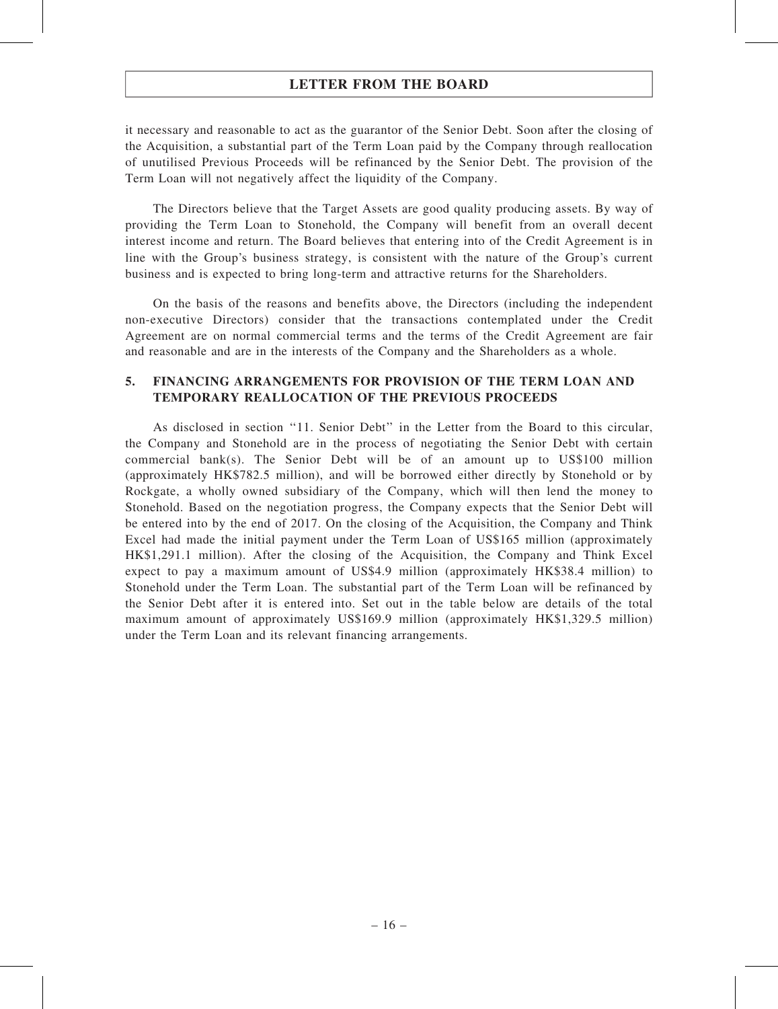it necessary and reasonable to act as the guarantor of the Senior Debt. Soon after the closing of the Acquisition, a substantial part of the Term Loan paid by the Company through reallocation of unutilised Previous Proceeds will be refinanced by the Senior Debt. The provision of the Term Loan will not negatively affect the liquidity of the Company.

The Directors believe that the Target Assets are good quality producing assets. By way of providing the Term Loan to Stonehold, the Company will benefit from an overall decent interest income and return. The Board believes that entering into of the Credit Agreement is in line with the Group's business strategy, is consistent with the nature of the Group's current business and is expected to bring long-term and attractive returns for the Shareholders.

On the basis of the reasons and benefits above, the Directors (including the independent non-executive Directors) consider that the transactions contemplated under the Credit Agreement are on normal commercial terms and the terms of the Credit Agreement are fair and reasonable and are in the interests of the Company and the Shareholders as a whole.

# 5. FINANCING ARRANGEMENTS FOR PROVISION OF THE TERM LOAN AND TEMPORARY REALLOCATION OF THE PREVIOUS PROCEEDS

As disclosed in section ''11. Senior Debt'' in the Letter from the Board to this circular, the Company and Stonehold are in the process of negotiating the Senior Debt with certain commercial bank(s). The Senior Debt will be of an amount up to US\$100 million (approximately HK\$782.5 million), and will be borrowed either directly by Stonehold or by Rockgate, a wholly owned subsidiary of the Company, which will then lend the money to Stonehold. Based on the negotiation progress, the Company expects that the Senior Debt will be entered into by the end of 2017. On the closing of the Acquisition, the Company and Think Excel had made the initial payment under the Term Loan of US\$165 million (approximately HK\$1,291.1 million). After the closing of the Acquisition, the Company and Think Excel expect to pay a maximum amount of US\$4.9 million (approximately HK\$38.4 million) to Stonehold under the Term Loan. The substantial part of the Term Loan will be refinanced by the Senior Debt after it is entered into. Set out in the table below are details of the total maximum amount of approximately US\$169.9 million (approximately HK\$1,329.5 million) under the Term Loan and its relevant financing arrangements.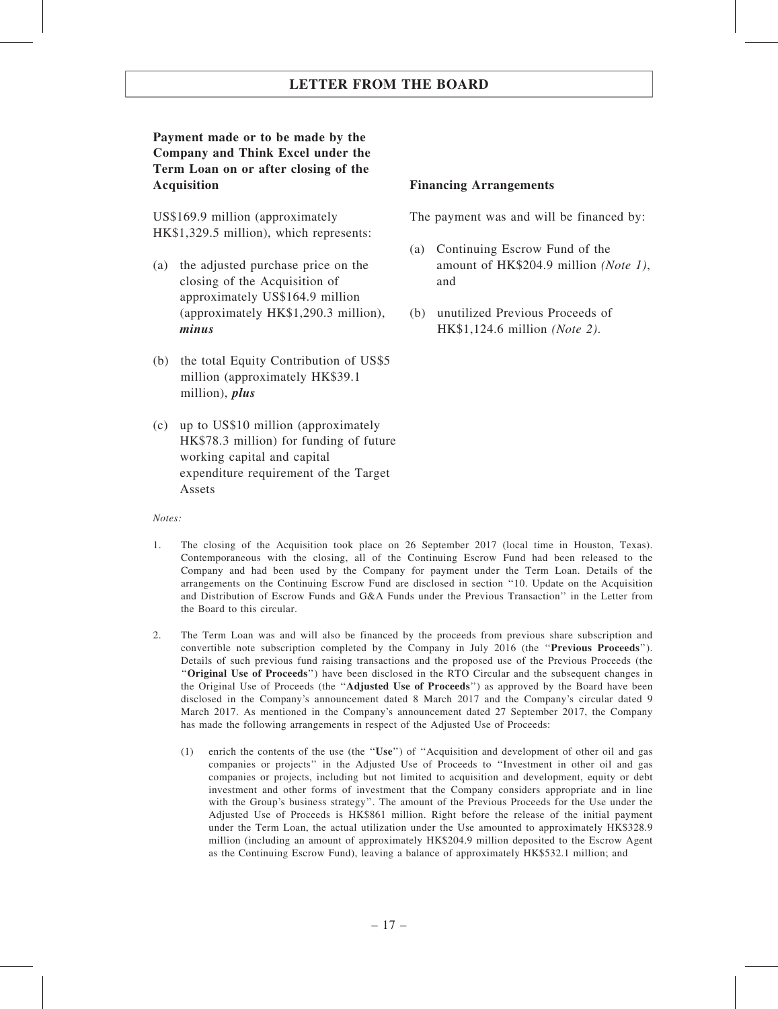# Payment made or to be made by the Company and Think Excel under the Term Loan on or after closing of the Acquisition **Financing Arrangements**

US\$169.9 million (approximately HK\$1,329.5 million), which represents:

- (a) the adjusted purchase price on the closing of the Acquisition of approximately US\$164.9 million (approximately HK\$1,290.3 million), minus
- (b) the total Equity Contribution of US\$5 million (approximately HK\$39.1 million), plus
- (c) up to US\$10 million (approximately HK\$78.3 million) for funding of future working capital and capital expenditure requirement of the Target Assets

The payment was and will be financed by:

- (a) Continuing Escrow Fund of the amount of HK\$204.9 million (Note 1), and
- (b) unutilized Previous Proceeds of HK\$1,124.6 million (Note 2).

#### Notes:

- 1. The closing of the Acquisition took place on 26 September 2017 (local time in Houston, Texas). Contemporaneous with the closing, all of the Continuing Escrow Fund had been released to the Company and had been used by the Company for payment under the Term Loan. Details of the arrangements on the Continuing Escrow Fund are disclosed in section ''10. Update on the Acquisition and Distribution of Escrow Funds and G&A Funds under the Previous Transaction'' in the Letter from the Board to this circular.
- 2. The Term Loan was and will also be financed by the proceeds from previous share subscription and convertible note subscription completed by the Company in July 2016 (the ''Previous Proceeds''). Details of such previous fund raising transactions and the proposed use of the Previous Proceeds (the ''Original Use of Proceeds'') have been disclosed in the RTO Circular and the subsequent changes in the Original Use of Proceeds (the "Adjusted Use of Proceeds") as approved by the Board have been disclosed in the Company's announcement dated 8 March 2017 and the Company's circular dated 9 March 2017. As mentioned in the Company's announcement dated 27 September 2017, the Company has made the following arrangements in respect of the Adjusted Use of Proceeds:
	- (1) enrich the contents of the use (the ''Use'') of ''Acquisition and development of other oil and gas companies or projects'' in the Adjusted Use of Proceeds to ''Investment in other oil and gas companies or projects, including but not limited to acquisition and development, equity or debt investment and other forms of investment that the Company considers appropriate and in line with the Group's business strategy''. The amount of the Previous Proceeds for the Use under the Adjusted Use of Proceeds is HK\$861 million. Right before the release of the initial payment under the Term Loan, the actual utilization under the Use amounted to approximately HK\$328.9 million (including an amount of approximately HK\$204.9 million deposited to the Escrow Agent as the Continuing Escrow Fund), leaving a balance of approximately HK\$532.1 million; and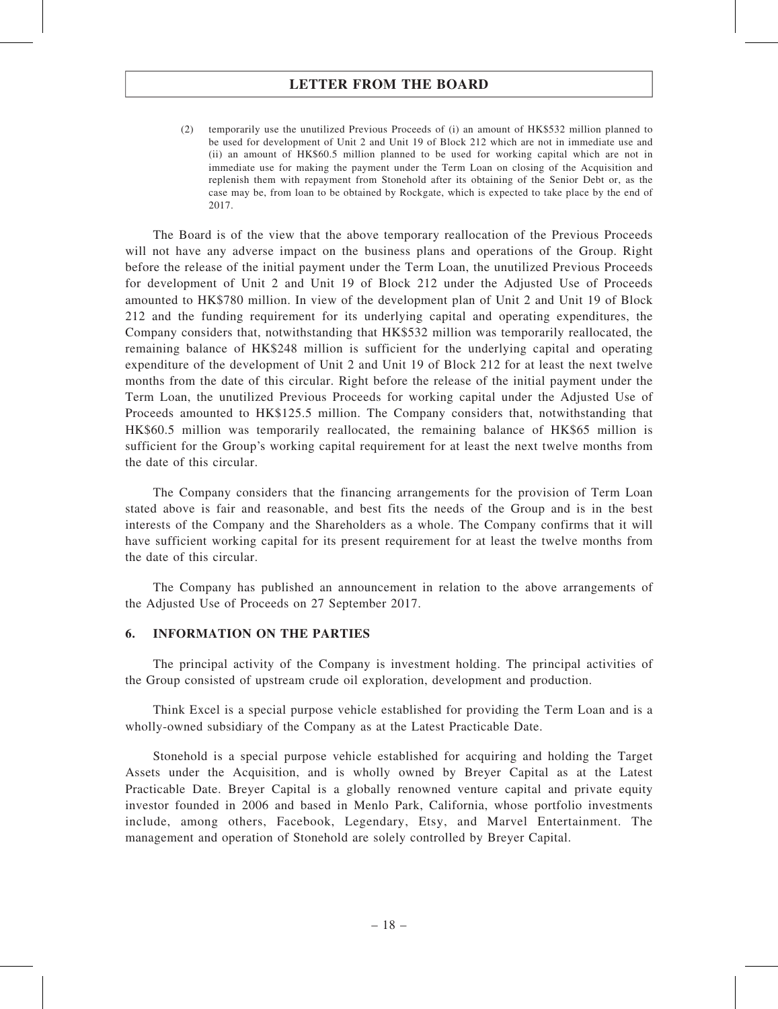(2) temporarily use the unutilized Previous Proceeds of (i) an amount of HK\$532 million planned to be used for development of Unit 2 and Unit 19 of Block 212 which are not in immediate use and (ii) an amount of HK\$60.5 million planned to be used for working capital which are not in immediate use for making the payment under the Term Loan on closing of the Acquisition and replenish them with repayment from Stonehold after its obtaining of the Senior Debt or, as the case may be, from loan to be obtained by Rockgate, which is expected to take place by the end of 2017.

The Board is of the view that the above temporary reallocation of the Previous Proceeds will not have any adverse impact on the business plans and operations of the Group. Right before the release of the initial payment under the Term Loan, the unutilized Previous Proceeds for development of Unit 2 and Unit 19 of Block 212 under the Adjusted Use of Proceeds amounted to HK\$780 million. In view of the development plan of Unit 2 and Unit 19 of Block 212 and the funding requirement for its underlying capital and operating expenditures, the Company considers that, notwithstanding that HK\$532 million was temporarily reallocated, the remaining balance of HK\$248 million is sufficient for the underlying capital and operating expenditure of the development of Unit 2 and Unit 19 of Block 212 for at least the next twelve months from the date of this circular. Right before the release of the initial payment under the Term Loan, the unutilized Previous Proceeds for working capital under the Adjusted Use of Proceeds amounted to HK\$125.5 million. The Company considers that, notwithstanding that HK\$60.5 million was temporarily reallocated, the remaining balance of HK\$65 million is sufficient for the Group's working capital requirement for at least the next twelve months from the date of this circular.

The Company considers that the financing arrangements for the provision of Term Loan stated above is fair and reasonable, and best fits the needs of the Group and is in the best interests of the Company and the Shareholders as a whole. The Company confirms that it will have sufficient working capital for its present requirement for at least the twelve months from the date of this circular.

The Company has published an announcement in relation to the above arrangements of the Adjusted Use of Proceeds on 27 September 2017.

# 6. INFORMATION ON THE PARTIES

The principal activity of the Company is investment holding. The principal activities of the Group consisted of upstream crude oil exploration, development and production.

Think Excel is a special purpose vehicle established for providing the Term Loan and is a wholly-owned subsidiary of the Company as at the Latest Practicable Date.

Stonehold is a special purpose vehicle established for acquiring and holding the Target Assets under the Acquisition, and is wholly owned by Breyer Capital as at the Latest Practicable Date. Breyer Capital is a globally renowned venture capital and private equity investor founded in 2006 and based in Menlo Park, California, whose portfolio investments include, among others, Facebook, Legendary, Etsy, and Marvel Entertainment. The management and operation of Stonehold are solely controlled by Breyer Capital.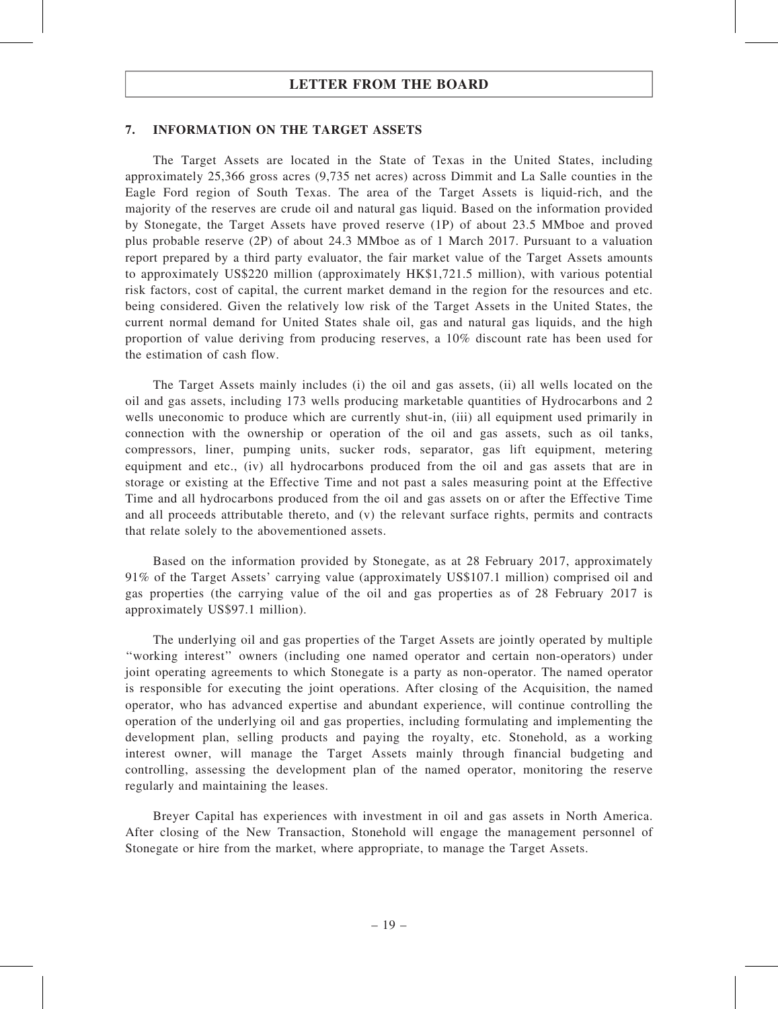### 7. INFORMATION ON THE TARGET ASSETS

The Target Assets are located in the State of Texas in the United States, including approximately 25,366 gross acres (9,735 net acres) across Dimmit and La Salle counties in the Eagle Ford region of South Texas. The area of the Target Assets is liquid-rich, and the majority of the reserves are crude oil and natural gas liquid. Based on the information provided by Stonegate, the Target Assets have proved reserve (1P) of about 23.5 MMboe and proved plus probable reserve (2P) of about 24.3 MMboe as of 1 March 2017. Pursuant to a valuation report prepared by a third party evaluator, the fair market value of the Target Assets amounts to approximately US\$220 million (approximately HK\$1,721.5 million), with various potential risk factors, cost of capital, the current market demand in the region for the resources and etc. being considered. Given the relatively low risk of the Target Assets in the United States, the current normal demand for United States shale oil, gas and natural gas liquids, and the high proportion of value deriving from producing reserves, a 10% discount rate has been used for the estimation of cash flow.

The Target Assets mainly includes (i) the oil and gas assets, (ii) all wells located on the oil and gas assets, including 173 wells producing marketable quantities of Hydrocarbons and 2 wells uneconomic to produce which are currently shut-in, (iii) all equipment used primarily in connection with the ownership or operation of the oil and gas assets, such as oil tanks, compressors, liner, pumping units, sucker rods, separator, gas lift equipment, metering equipment and etc., (iv) all hydrocarbons produced from the oil and gas assets that are in storage or existing at the Effective Time and not past a sales measuring point at the Effective Time and all hydrocarbons produced from the oil and gas assets on or after the Effective Time and all proceeds attributable thereto, and (v) the relevant surface rights, permits and contracts that relate solely to the abovementioned assets.

Based on the information provided by Stonegate, as at 28 February 2017, approximately 91% of the Target Assets' carrying value (approximately US\$107.1 million) comprised oil and gas properties (the carrying value of the oil and gas properties as of 28 February 2017 is approximately US\$97.1 million).

The underlying oil and gas properties of the Target Assets are jointly operated by multiple ''working interest'' owners (including one named operator and certain non-operators) under joint operating agreements to which Stonegate is a party as non-operator. The named operator is responsible for executing the joint operations. After closing of the Acquisition, the named operator, who has advanced expertise and abundant experience, will continue controlling the operation of the underlying oil and gas properties, including formulating and implementing the development plan, selling products and paying the royalty, etc. Stonehold, as a working interest owner, will manage the Target Assets mainly through financial budgeting and controlling, assessing the development plan of the named operator, monitoring the reserve regularly and maintaining the leases.

Breyer Capital has experiences with investment in oil and gas assets in North America. After closing of the New Transaction, Stonehold will engage the management personnel of Stonegate or hire from the market, where appropriate, to manage the Target Assets.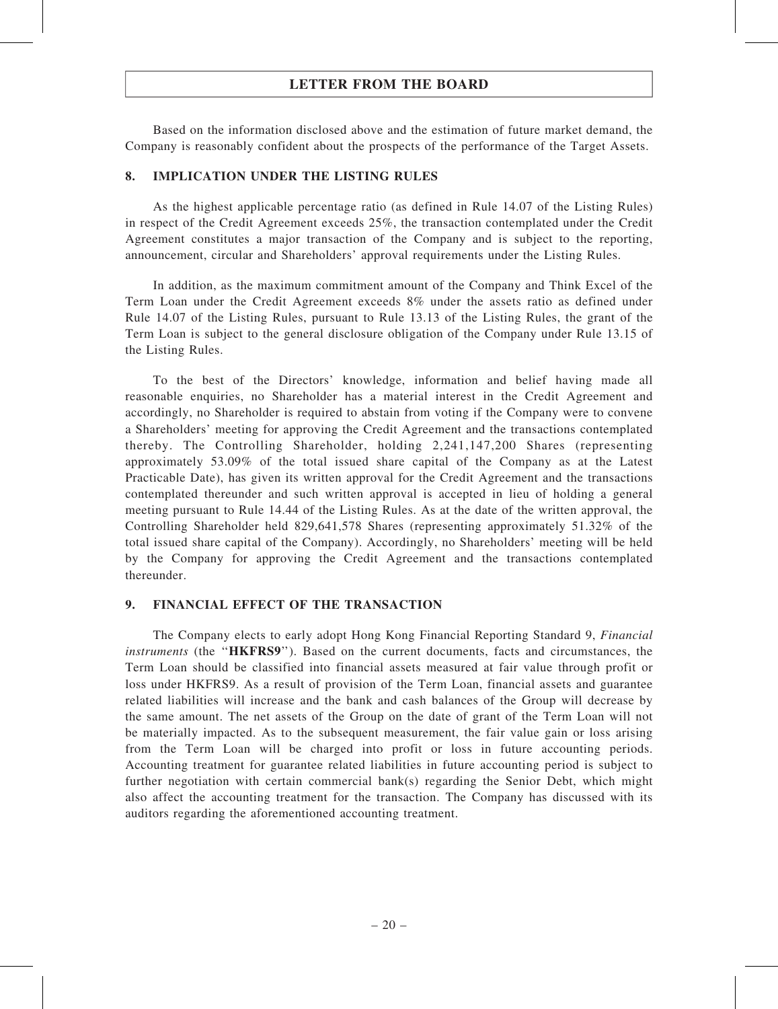Based on the information disclosed above and the estimation of future market demand, the Company is reasonably confident about the prospects of the performance of the Target Assets.

# 8. IMPLICATION UNDER THE LISTING RULES

As the highest applicable percentage ratio (as defined in Rule 14.07 of the Listing Rules) in respect of the Credit Agreement exceeds 25%, the transaction contemplated under the Credit Agreement constitutes a major transaction of the Company and is subject to the reporting, announcement, circular and Shareholders' approval requirements under the Listing Rules.

In addition, as the maximum commitment amount of the Company and Think Excel of the Term Loan under the Credit Agreement exceeds 8% under the assets ratio as defined under Rule 14.07 of the Listing Rules, pursuant to Rule 13.13 of the Listing Rules, the grant of the Term Loan is subject to the general disclosure obligation of the Company under Rule 13.15 of the Listing Rules.

To the best of the Directors' knowledge, information and belief having made all reasonable enquiries, no Shareholder has a material interest in the Credit Agreement and accordingly, no Shareholder is required to abstain from voting if the Company were to convene a Shareholders' meeting for approving the Credit Agreement and the transactions contemplated thereby. The Controlling Shareholder, holding 2,241,147,200 Shares (representing approximately 53.09% of the total issued share capital of the Company as at the Latest Practicable Date), has given its written approval for the Credit Agreement and the transactions contemplated thereunder and such written approval is accepted in lieu of holding a general meeting pursuant to Rule 14.44 of the Listing Rules. As at the date of the written approval, the Controlling Shareholder held 829,641,578 Shares (representing approximately 51.32% of the total issued share capital of the Company). Accordingly, no Shareholders' meeting will be held by the Company for approving the Credit Agreement and the transactions contemplated thereunder.

# 9. FINANCIAL EFFECT OF THE TRANSACTION

The Company elects to early adopt Hong Kong Financial Reporting Standard 9, Financial instruments (the "HKFRS9"). Based on the current documents, facts and circumstances, the Term Loan should be classified into financial assets measured at fair value through profit or loss under HKFRS9. As a result of provision of the Term Loan, financial assets and guarantee related liabilities will increase and the bank and cash balances of the Group will decrease by the same amount. The net assets of the Group on the date of grant of the Term Loan will not be materially impacted. As to the subsequent measurement, the fair value gain or loss arising from the Term Loan will be charged into profit or loss in future accounting periods. Accounting treatment for guarantee related liabilities in future accounting period is subject to further negotiation with certain commercial bank(s) regarding the Senior Debt, which might also affect the accounting treatment for the transaction. The Company has discussed with its auditors regarding the aforementioned accounting treatment.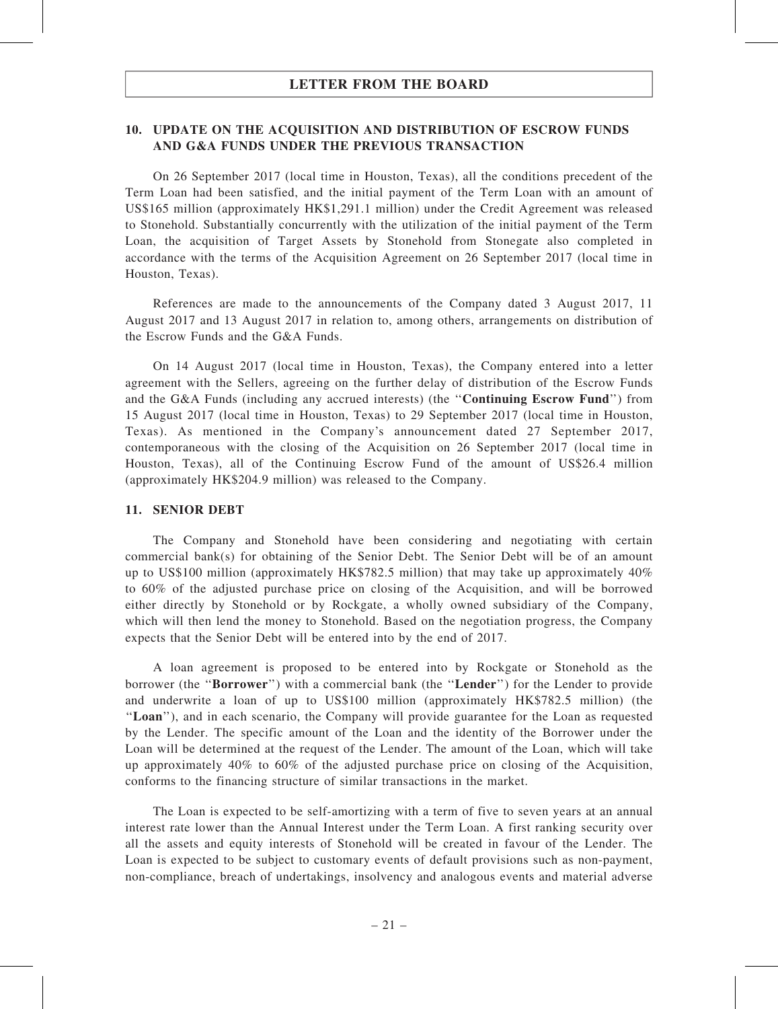# 10. UPDATE ON THE ACQUISITION AND DISTRIBUTION OF ESCROW FUNDS AND G&A FUNDS UNDER THE PREVIOUS TRANSACTION

On 26 September 2017 (local time in Houston, Texas), all the conditions precedent of the Term Loan had been satisfied, and the initial payment of the Term Loan with an amount of US\$165 million (approximately HK\$1,291.1 million) under the Credit Agreement was released to Stonehold. Substantially concurrently with the utilization of the initial payment of the Term Loan, the acquisition of Target Assets by Stonehold from Stonegate also completed in accordance with the terms of the Acquisition Agreement on 26 September 2017 (local time in Houston, Texas).

References are made to the announcements of the Company dated 3 August 2017, 11 August 2017 and 13 August 2017 in relation to, among others, arrangements on distribution of the Escrow Funds and the G&A Funds.

On 14 August 2017 (local time in Houston, Texas), the Company entered into a letter agreement with the Sellers, agreeing on the further delay of distribution of the Escrow Funds and the G&A Funds (including any accrued interests) (the ''Continuing Escrow Fund'') from 15 August 2017 (local time in Houston, Texas) to 29 September 2017 (local time in Houston, Texas). As mentioned in the Company's announcement dated 27 September 2017, contemporaneous with the closing of the Acquisition on 26 September 2017 (local time in Houston, Texas), all of the Continuing Escrow Fund of the amount of US\$26.4 million (approximately HK\$204.9 million) was released to the Company.

#### 11. SENIOR DEBT

The Company and Stonehold have been considering and negotiating with certain commercial bank(s) for obtaining of the Senior Debt. The Senior Debt will be of an amount up to US\$100 million (approximately HK\$782.5 million) that may take up approximately  $40\%$ to 60% of the adjusted purchase price on closing of the Acquisition, and will be borrowed either directly by Stonehold or by Rockgate, a wholly owned subsidiary of the Company, which will then lend the money to Stonehold. Based on the negotiation progress, the Company expects that the Senior Debt will be entered into by the end of 2017.

A loan agreement is proposed to be entered into by Rockgate or Stonehold as the borrower (the "Borrower") with a commercial bank (the "Lender") for the Lender to provide and underwrite a loan of up to US\$100 million (approximately HK\$782.5 million) (the ''Loan''), and in each scenario, the Company will provide guarantee for the Loan as requested by the Lender. The specific amount of the Loan and the identity of the Borrower under the Loan will be determined at the request of the Lender. The amount of the Loan, which will take up approximately 40% to 60% of the adjusted purchase price on closing of the Acquisition, conforms to the financing structure of similar transactions in the market.

The Loan is expected to be self-amortizing with a term of five to seven years at an annual interest rate lower than the Annual Interest under the Term Loan. A first ranking security over all the assets and equity interests of Stonehold will be created in favour of the Lender. The Loan is expected to be subject to customary events of default provisions such as non-payment, non-compliance, breach of undertakings, insolvency and analogous events and material adverse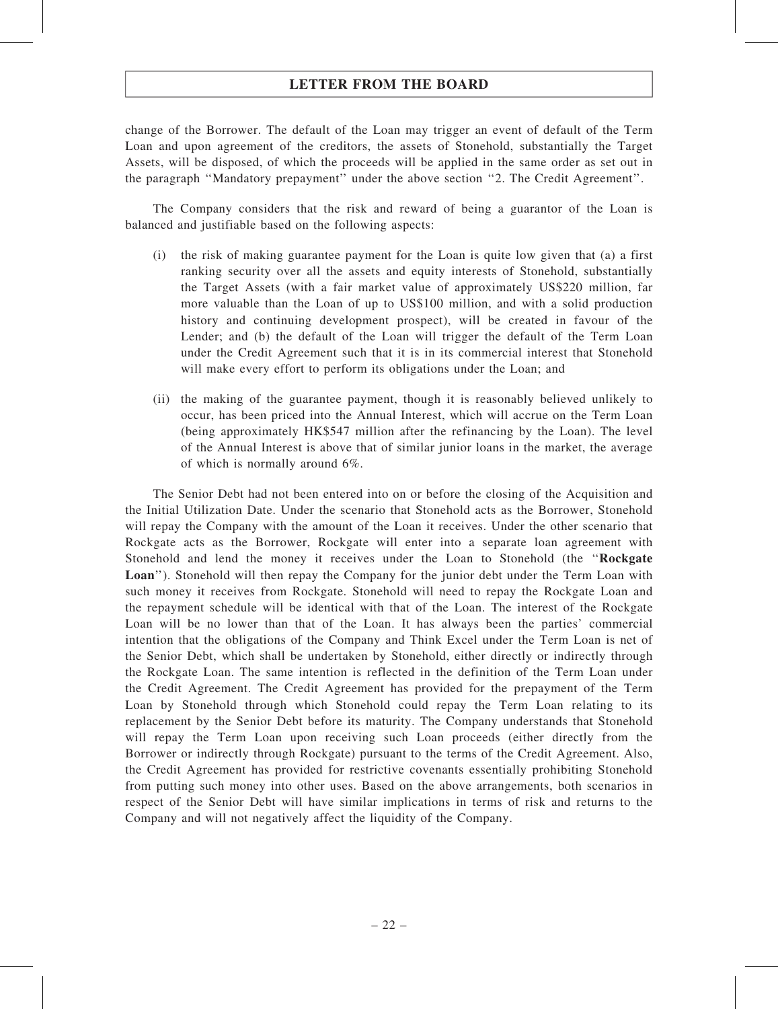change of the Borrower. The default of the Loan may trigger an event of default of the Term Loan and upon agreement of the creditors, the assets of Stonehold, substantially the Target Assets, will be disposed, of which the proceeds will be applied in the same order as set out in the paragraph ''Mandatory prepayment'' under the above section ''2. The Credit Agreement''.

The Company considers that the risk and reward of being a guarantor of the Loan is balanced and justifiable based on the following aspects:

- (i) the risk of making guarantee payment for the Loan is quite low given that (a) a first ranking security over all the assets and equity interests of Stonehold, substantially the Target Assets (with a fair market value of approximately US\$220 million, far more valuable than the Loan of up to US\$100 million, and with a solid production history and continuing development prospect), will be created in favour of the Lender; and (b) the default of the Loan will trigger the default of the Term Loan under the Credit Agreement such that it is in its commercial interest that Stonehold will make every effort to perform its obligations under the Loan; and
- (ii) the making of the guarantee payment, though it is reasonably believed unlikely to occur, has been priced into the Annual Interest, which will accrue on the Term Loan (being approximately HK\$547 million after the refinancing by the Loan). The level of the Annual Interest is above that of similar junior loans in the market, the average of which is normally around 6%.

The Senior Debt had not been entered into on or before the closing of the Acquisition and the Initial Utilization Date. Under the scenario that Stonehold acts as the Borrower, Stonehold will repay the Company with the amount of the Loan it receives. Under the other scenario that Rockgate acts as the Borrower, Rockgate will enter into a separate loan agreement with Stonehold and lend the money it receives under the Loan to Stonehold (the ''Rockgate Loan"). Stonehold will then repay the Company for the junior debt under the Term Loan with such money it receives from Rockgate. Stonehold will need to repay the Rockgate Loan and the repayment schedule will be identical with that of the Loan. The interest of the Rockgate Loan will be no lower than that of the Loan. It has always been the parties' commercial intention that the obligations of the Company and Think Excel under the Term Loan is net of the Senior Debt, which shall be undertaken by Stonehold, either directly or indirectly through the Rockgate Loan. The same intention is reflected in the definition of the Term Loan under the Credit Agreement. The Credit Agreement has provided for the prepayment of the Term Loan by Stonehold through which Stonehold could repay the Term Loan relating to its replacement by the Senior Debt before its maturity. The Company understands that Stonehold will repay the Term Loan upon receiving such Loan proceeds (either directly from the Borrower or indirectly through Rockgate) pursuant to the terms of the Credit Agreement. Also, the Credit Agreement has provided for restrictive covenants essentially prohibiting Stonehold from putting such money into other uses. Based on the above arrangements, both scenarios in respect of the Senior Debt will have similar implications in terms of risk and returns to the Company and will not negatively affect the liquidity of the Company.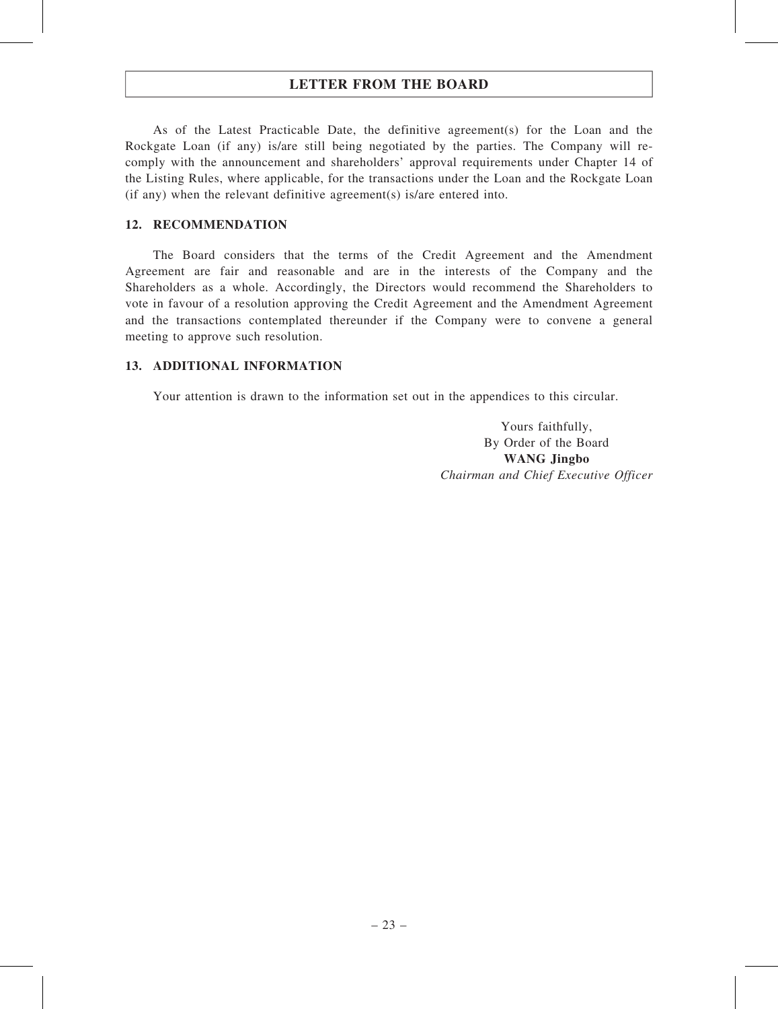As of the Latest Practicable Date, the definitive agreement(s) for the Loan and the Rockgate Loan (if any) is/are still being negotiated by the parties. The Company will recomply with the announcement and shareholders' approval requirements under Chapter 14 of the Listing Rules, where applicable, for the transactions under the Loan and the Rockgate Loan (if any) when the relevant definitive agreement(s) is/are entered into.

### 12. RECOMMENDATION

The Board considers that the terms of the Credit Agreement and the Amendment Agreement are fair and reasonable and are in the interests of the Company and the Shareholders as a whole. Accordingly, the Directors would recommend the Shareholders to vote in favour of a resolution approving the Credit Agreement and the Amendment Agreement and the transactions contemplated thereunder if the Company were to convene a general meeting to approve such resolution.

# 13. ADDITIONAL INFORMATION

Your attention is drawn to the information set out in the appendices to this circular.

Yours faithfully, By Order of the Board WANG Jingbo Chairman and Chief Executive Officer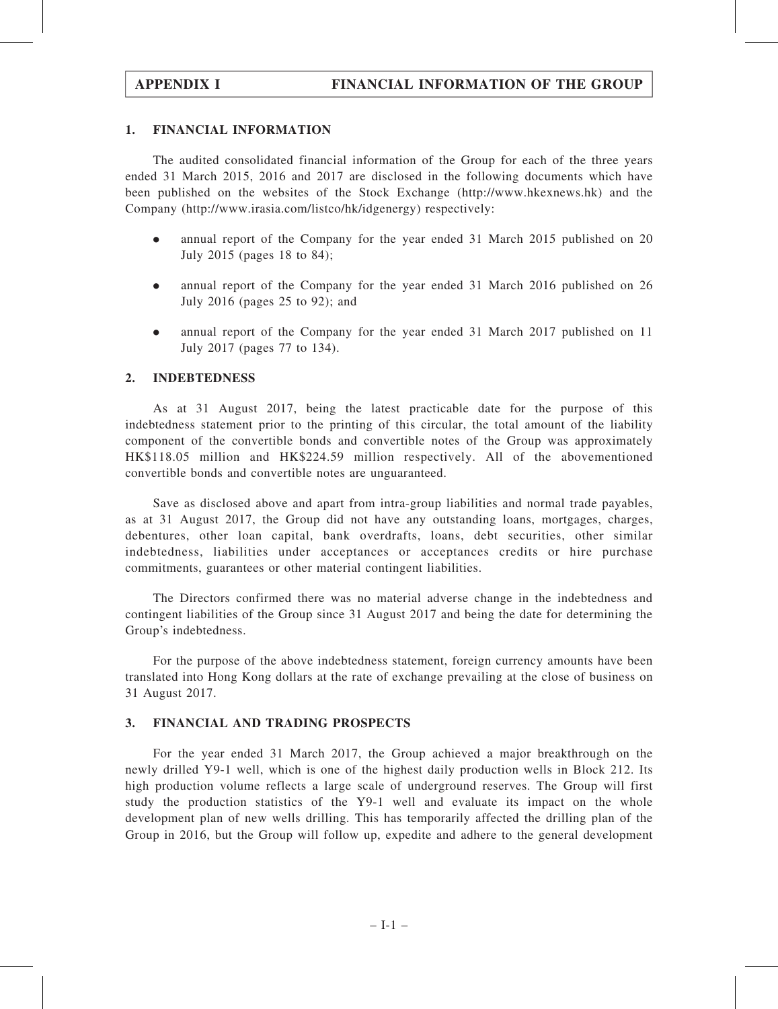## 1. FINANCIAL INFORMATION

The audited consolidated financial information of the Group for each of the three years ended 31 March 2015, 2016 and 2017 are disclosed in the following documents which have been published on the websites of the Stock Exchange (http://www.hkexnews.hk) and the Company (http://www.irasia.com/listco/hk/idgenergy) respectively:

- . annual report of the Company for the year ended 31 March 2015 published on 20 July 2015 (pages 18 to 84);
- . annual report of the Company for the year ended 31 March 2016 published on 26 July 2016 (pages 25 to 92); and
- . annual report of the Company for the year ended 31 March 2017 published on 11 July 2017 (pages 77 to 134).

#### 2. INDEBTEDNESS

As at 31 August 2017, being the latest practicable date for the purpose of this indebtedness statement prior to the printing of this circular, the total amount of the liability component of the convertible bonds and convertible notes of the Group was approximately HK\$118.05 million and HK\$224.59 million respectively. All of the abovementioned convertible bonds and convertible notes are unguaranteed.

Save as disclosed above and apart from intra-group liabilities and normal trade payables, as at 31 August 2017, the Group did not have any outstanding loans, mortgages, charges, debentures, other loan capital, bank overdrafts, loans, debt securities, other similar indebtedness, liabilities under acceptances or acceptances credits or hire purchase commitments, guarantees or other material contingent liabilities.

The Directors confirmed there was no material adverse change in the indebtedness and contingent liabilities of the Group since 31 August 2017 and being the date for determining the Group's indebtedness.

For the purpose of the above indebtedness statement, foreign currency amounts have been translated into Hong Kong dollars at the rate of exchange prevailing at the close of business on 31 August 2017.

# 3. FINANCIAL AND TRADING PROSPECTS

For the year ended 31 March 2017, the Group achieved a major breakthrough on the newly drilled Y9-1 well, which is one of the highest daily production wells in Block 212. Its high production volume reflects a large scale of underground reserves. The Group will first study the production statistics of the Y9-1 well and evaluate its impact on the whole development plan of new wells drilling. This has temporarily affected the drilling plan of the Group in 2016, but the Group will follow up, expedite and adhere to the general development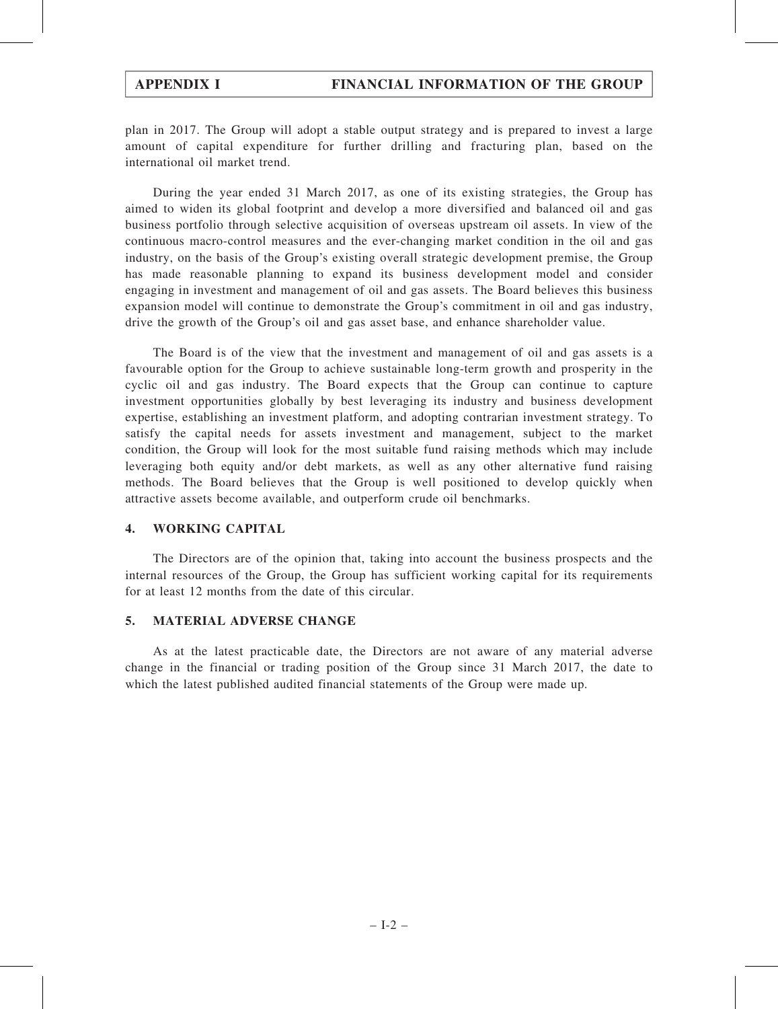plan in 2017. The Group will adopt a stable output strategy and is prepared to invest a large amount of capital expenditure for further drilling and fracturing plan, based on the international oil market trend.

During the year ended 31 March 2017, as one of its existing strategies, the Group has aimed to widen its global footprint and develop a more diversified and balanced oil and gas business portfolio through selective acquisition of overseas upstream oil assets. In view of the continuous macro-control measures and the ever-changing market condition in the oil and gas industry, on the basis of the Group's existing overall strategic development premise, the Group has made reasonable planning to expand its business development model and consider engaging in investment and management of oil and gas assets. The Board believes this business expansion model will continue to demonstrate the Group's commitment in oil and gas industry, drive the growth of the Group's oil and gas asset base, and enhance shareholder value.

The Board is of the view that the investment and management of oil and gas assets is a favourable option for the Group to achieve sustainable long-term growth and prosperity in the cyclic oil and gas industry. The Board expects that the Group can continue to capture investment opportunities globally by best leveraging its industry and business development expertise, establishing an investment platform, and adopting contrarian investment strategy. To satisfy the capital needs for assets investment and management, subject to the market condition, the Group will look for the most suitable fund raising methods which may include leveraging both equity and/or debt markets, as well as any other alternative fund raising methods. The Board believes that the Group is well positioned to develop quickly when attractive assets become available, and outperform crude oil benchmarks.

# 4. WORKING CAPITAL

The Directors are of the opinion that, taking into account the business prospects and the internal resources of the Group, the Group has sufficient working capital for its requirements for at least 12 months from the date of this circular.

# 5. MATERIAL ADVERSE CHANGE

As at the latest practicable date, the Directors are not aware of any material adverse change in the financial or trading position of the Group since 31 March 2017, the date to which the latest published audited financial statements of the Group were made up.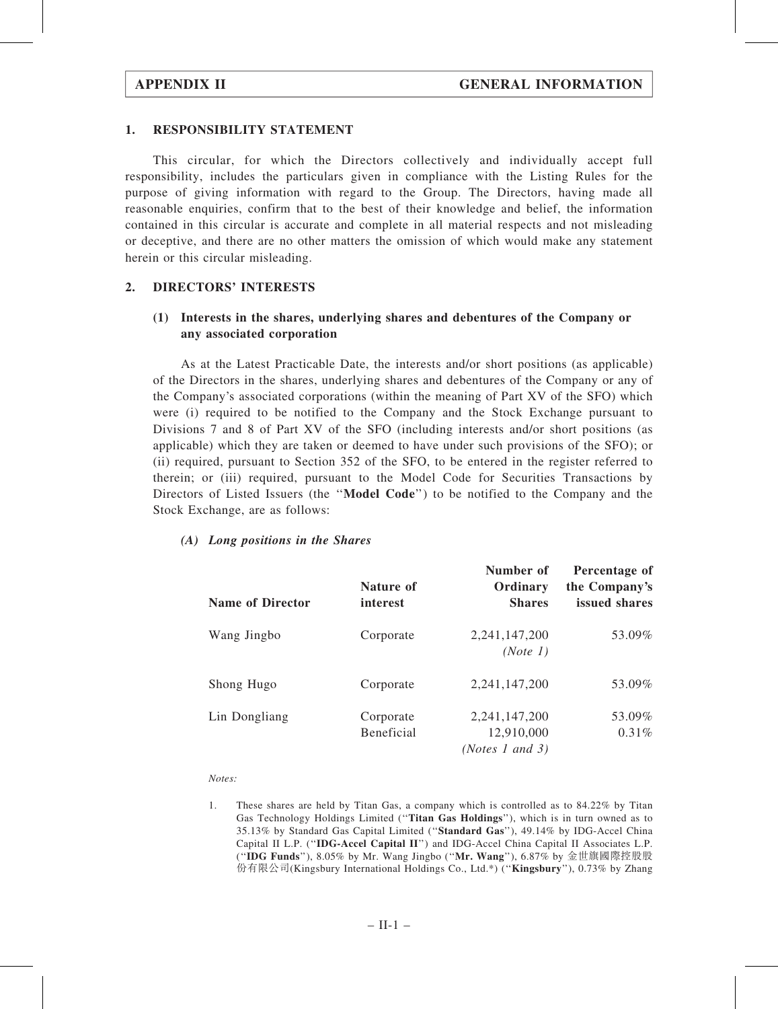#### 1. RESPONSIBILITY STATEMENT

This circular, for which the Directors collectively and individually accept full responsibility, includes the particulars given in compliance with the Listing Rules for the purpose of giving information with regard to the Group. The Directors, having made all reasonable enquiries, confirm that to the best of their knowledge and belief, the information contained in this circular is accurate and complete in all material respects and not misleading or deceptive, and there are no other matters the omission of which would make any statement herein or this circular misleading.

# 2. DIRECTORS' INTERESTS

# (1) Interests in the shares, underlying shares and debentures of the Company or any associated corporation

As at the Latest Practicable Date, the interests and/or short positions (as applicable) of the Directors in the shares, underlying shares and debentures of the Company or any of the Company's associated corporations (within the meaning of Part XV of the SFO) which were (i) required to be notified to the Company and the Stock Exchange pursuant to Divisions 7 and 8 of Part XV of the SFO (including interests and/or short positions (as applicable) which they are taken or deemed to have under such provisions of the SFO); or (ii) required, pursuant to Section 352 of the SFO, to be entered in the register referred to therein; or (iii) required, pursuant to the Model Code for Securities Transactions by Directors of Listed Issuers (the ''Model Code'') to be notified to the Company and the Stock Exchange, are as follows:

| <b>Name of Director</b> | Nature of<br>interest          | Number of<br>Ordinary<br><b>Shares</b>         | Percentage of<br>the Company's<br>issued shares |
|-------------------------|--------------------------------|------------------------------------------------|-------------------------------------------------|
| Wang Jingbo             | Corporate                      | 2,241,147,200<br>(Note 1)                      | 53.09%                                          |
| Shong Hugo              | Corporate                      | 2,241,147,200                                  | 53.09%                                          |
| Lin Dongliang           | Corporate<br><b>Beneficial</b> | 2,241,147,200<br>12,910,000<br>(Notes 1 and 3) | 53.09%<br>$0.31\%$                              |

#### (A) Long positions in the Shares

Notes:

1. These shares are held by Titan Gas, a company which is controlled as to 84.22% by Titan Gas Technology Holdings Limited ("Titan Gas Holdings"), which is in turn owned as to 35.13% by Standard Gas Capital Limited (''Standard Gas''), 49.14% by IDG-Accel China Capital II L.P. (''IDG-Accel Capital II'') and IDG-Accel China Capital II Associates L.P. (''IDG Funds''), 8.05% by Mr. Wang Jingbo (''Mr. Wang''), 6.87% by 金世旗國際控股股 份有限公司(Kingsbury International Holdings Co., Ltd.\*) ("**Kingsbury**"), 0.73% by Zhang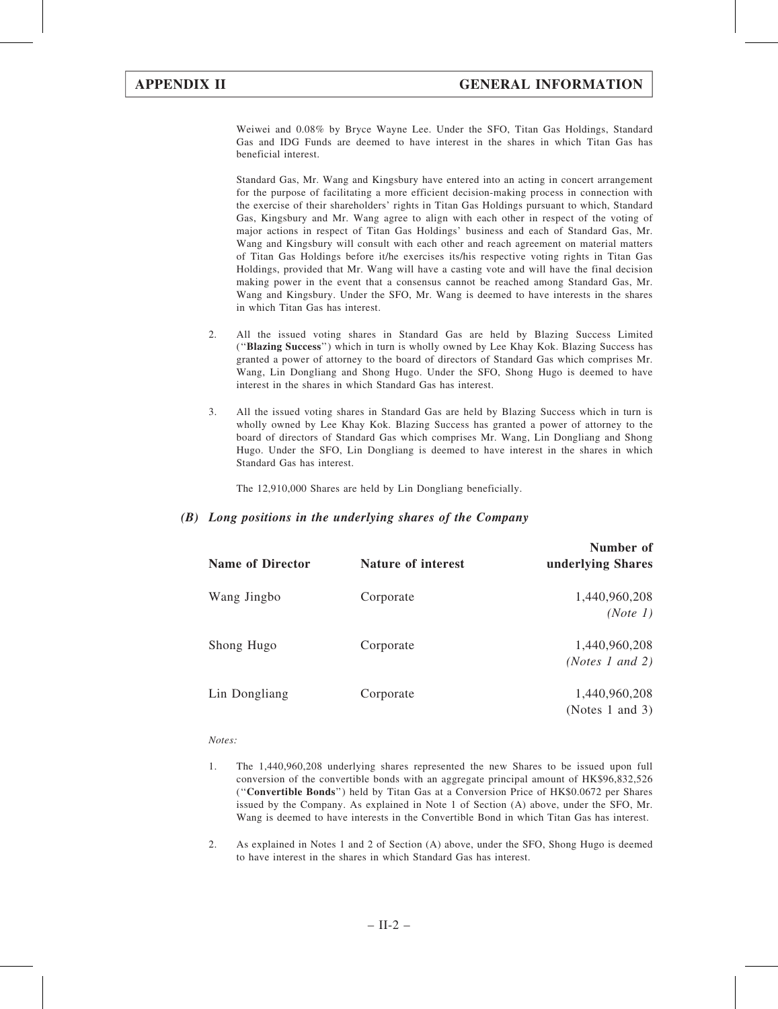Weiwei and 0.08% by Bryce Wayne Lee. Under the SFO, Titan Gas Holdings, Standard Gas and IDG Funds are deemed to have interest in the shares in which Titan Gas has beneficial interest.

Standard Gas, Mr. Wang and Kingsbury have entered into an acting in concert arrangement for the purpose of facilitating a more efficient decision-making process in connection with the exercise of their shareholders' rights in Titan Gas Holdings pursuant to which, Standard Gas, Kingsbury and Mr. Wang agree to align with each other in respect of the voting of major actions in respect of Titan Gas Holdings' business and each of Standard Gas, Mr. Wang and Kingsbury will consult with each other and reach agreement on material matters of Titan Gas Holdings before it/he exercises its/his respective voting rights in Titan Gas Holdings, provided that Mr. Wang will have a casting vote and will have the final decision making power in the event that a consensus cannot be reached among Standard Gas, Mr. Wang and Kingsbury. Under the SFO, Mr. Wang is deemed to have interests in the shares in which Titan Gas has interest.

- 2. All the issued voting shares in Standard Gas are held by Blazing Success Limited (''Blazing Success'') which in turn is wholly owned by Lee Khay Kok. Blazing Success has granted a power of attorney to the board of directors of Standard Gas which comprises Mr. Wang, Lin Dongliang and Shong Hugo. Under the SFO, Shong Hugo is deemed to have interest in the shares in which Standard Gas has interest.
- 3. All the issued voting shares in Standard Gas are held by Blazing Success which in turn is wholly owned by Lee Khay Kok. Blazing Success has granted a power of attorney to the board of directors of Standard Gas which comprises Mr. Wang, Lin Dongliang and Shong Hugo. Under the SFO, Lin Dongliang is deemed to have interest in the shares in which Standard Gas has interest.

The 12,910,000 Shares are held by Lin Dongliang beneficially.

#### (B) Long positions in the underlying shares of the Company

| <b>Name of Director</b> | <b>Nature of interest</b> | Number of<br>underlying Shares            |
|-------------------------|---------------------------|-------------------------------------------|
| Wang Jingbo             | Corporate                 | 1,440,960,208<br>(Note 1)                 |
| Shong Hugo              | Corporate                 | 1,440,960,208<br>( <i>Notes 1 and 2</i> ) |
| Lin Dongliang           | Corporate                 | 1,440,960,208<br>(Notes 1 and 3)          |

#### Notes:

- 1. The 1,440,960,208 underlying shares represented the new Shares to be issued upon full conversion of the convertible bonds with an aggregate principal amount of HK\$96,832,526 (''Convertible Bonds'') held by Titan Gas at a Conversion Price of HK\$0.0672 per Shares issued by the Company. As explained in Note 1 of Section (A) above, under the SFO, Mr. Wang is deemed to have interests in the Convertible Bond in which Titan Gas has interest.
- 2. As explained in Notes 1 and 2 of Section (A) above, under the SFO, Shong Hugo is deemed to have interest in the shares in which Standard Gas has interest.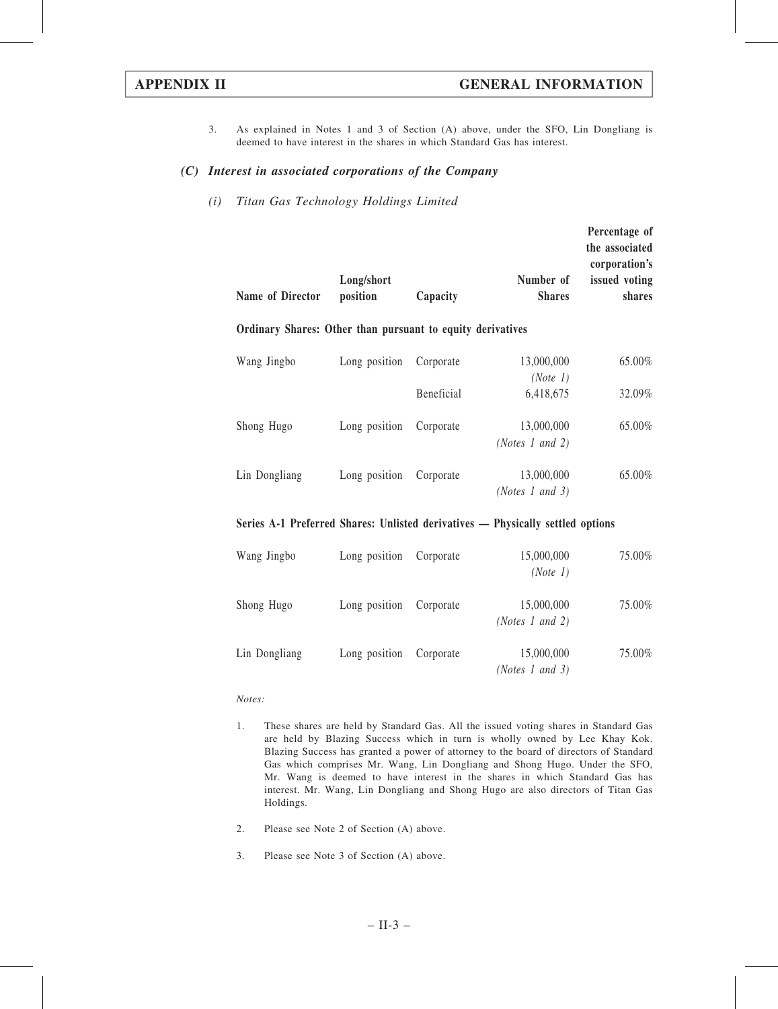Depentage of

3. As explained in Notes 1 and 3 of Section (A) above, under the SFO, Lin Dongliang is deemed to have interest in the shares in which Standard Gas has interest.

#### (C) Interest in associated corporations of the Company

(i) Titan Gas Technology Holdings Limited

| <b>Name of Director</b> | Long/short<br>position                                     | Capacity          | Number of<br><b>Shares</b>             | T erechtage of<br>the associated<br>corporation's<br>issued voting<br>shares |  |  |
|-------------------------|------------------------------------------------------------|-------------------|----------------------------------------|------------------------------------------------------------------------------|--|--|
|                         | Ordinary Shares: Other than pursuant to equity derivatives |                   |                                        |                                                                              |  |  |
| Wang Jingbo             | Long position                                              | Corporate         | 13,000,000<br>(Note 1)                 | 65.00%                                                                       |  |  |
|                         |                                                            | <b>Beneficial</b> | 6,418,675                              | 32.09%                                                                       |  |  |
| Shong Hugo              | Long position                                              | Corporate         | 13,000,000<br>( <i>Notes 1 and 2</i> ) | 65.00%                                                                       |  |  |
| Lin Dongliang           | Long position                                              | Corporate         | 13,000,000<br>(Notes 1 and 3)          | 65.00%                                                                       |  |  |

#### Series A-1 Preferred Shares: Unlisted derivatives — Physically settled options

| Wang Jingbo   | Long position | Corporate | 15,000,000<br>(Note 1)        | 75.00% |
|---------------|---------------|-----------|-------------------------------|--------|
| Shong Hugo    | Long position | Corporate | 15,000,000<br>(Notes 1 and 2) | 75.00% |
| Lin Dongliang | Long position | Corporate | 15,000,000<br>(Notes 1 and 3) | 75.00% |

#### Notes:

- 1. These shares are held by Standard Gas. All the issued voting shares in Standard Gas are held by Blazing Success which in turn is wholly owned by Lee Khay Kok. Blazing Success has granted a power of attorney to the board of directors of Standard Gas which comprises Mr. Wang, Lin Dongliang and Shong Hugo. Under the SFO, Mr. Wang is deemed to have interest in the shares in which Standard Gas has interest. Mr. Wang, Lin Dongliang and Shong Hugo are also directors of Titan Gas Holdings.
- 2. Please see Note 2 of Section (A) above.
- 3. Please see Note 3 of Section (A) above.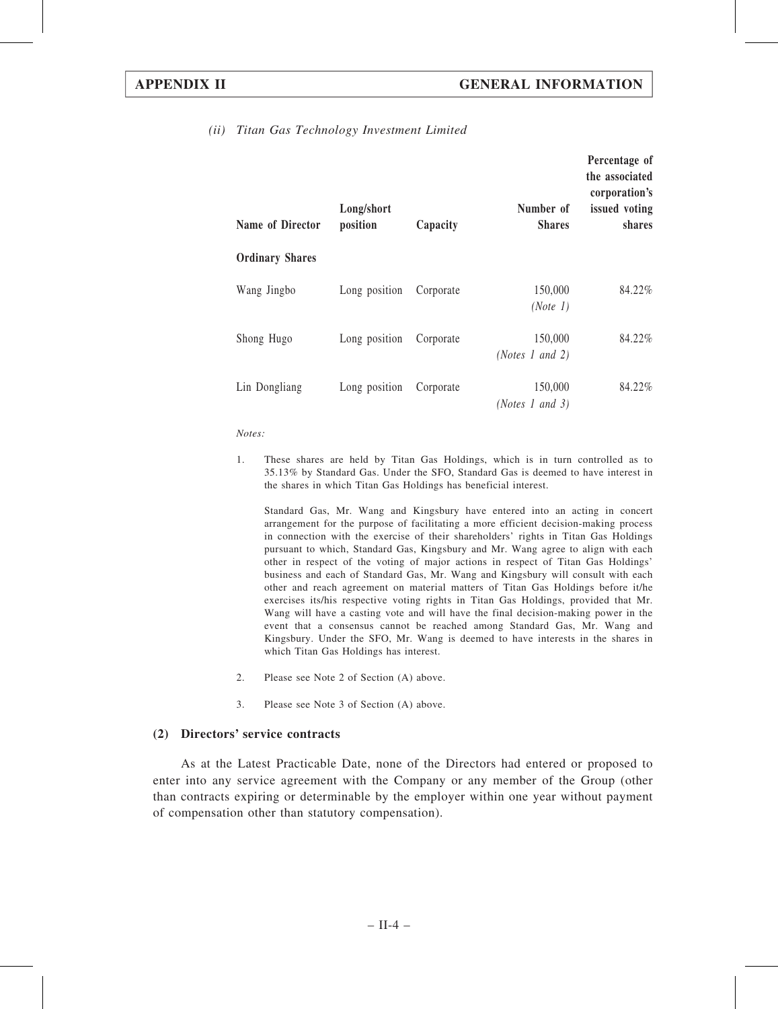|  |  |  |  | (ii) Titan Gas Technology Investment Limited |  |
|--|--|--|--|----------------------------------------------|--|
|--|--|--|--|----------------------------------------------|--|

| <b>Name of Director</b> | Long/short<br>position | Capacity  | Number of<br><b>Shares</b>          | Percentage of<br>the associated<br>corporation's<br>issued voting<br>shares |
|-------------------------|------------------------|-----------|-------------------------------------|-----------------------------------------------------------------------------|
| <b>Ordinary Shares</b>  |                        |           |                                     |                                                                             |
| Wang Jingbo             | Long position          | Corporate | 150,000<br>(Note 1)                 | 84.22%                                                                      |
| Shong Hugo              | Long position          | Corporate | 150,000<br>( <i>Notes 1 and 2</i> ) | 84.22%                                                                      |
| Lin Dongliang           | Long position          | Corporate | 150,000<br>(Notes 1 and 3)          | 84.22%                                                                      |

#### Notes:

1. These shares are held by Titan Gas Holdings, which is in turn controlled as to 35.13% by Standard Gas. Under the SFO, Standard Gas is deemed to have interest in the shares in which Titan Gas Holdings has beneficial interest.

Standard Gas, Mr. Wang and Kingsbury have entered into an acting in concert arrangement for the purpose of facilitating a more efficient decision-making process in connection with the exercise of their shareholders' rights in Titan Gas Holdings pursuant to which, Standard Gas, Kingsbury and Mr. Wang agree to align with each other in respect of the voting of major actions in respect of Titan Gas Holdings' business and each of Standard Gas, Mr. Wang and Kingsbury will consult with each other and reach agreement on material matters of Titan Gas Holdings before it/he exercises its/his respective voting rights in Titan Gas Holdings, provided that Mr. Wang will have a casting vote and will have the final decision-making power in the event that a consensus cannot be reached among Standard Gas, Mr. Wang and Kingsbury. Under the SFO, Mr. Wang is deemed to have interests in the shares in which Titan Gas Holdings has interest.

- 2. Please see Note 2 of Section (A) above.
- 3. Please see Note 3 of Section (A) above.

#### (2) Directors' service contracts

As at the Latest Practicable Date, none of the Directors had entered or proposed to enter into any service agreement with the Company or any member of the Group (other than contracts expiring or determinable by the employer within one year without payment of compensation other than statutory compensation).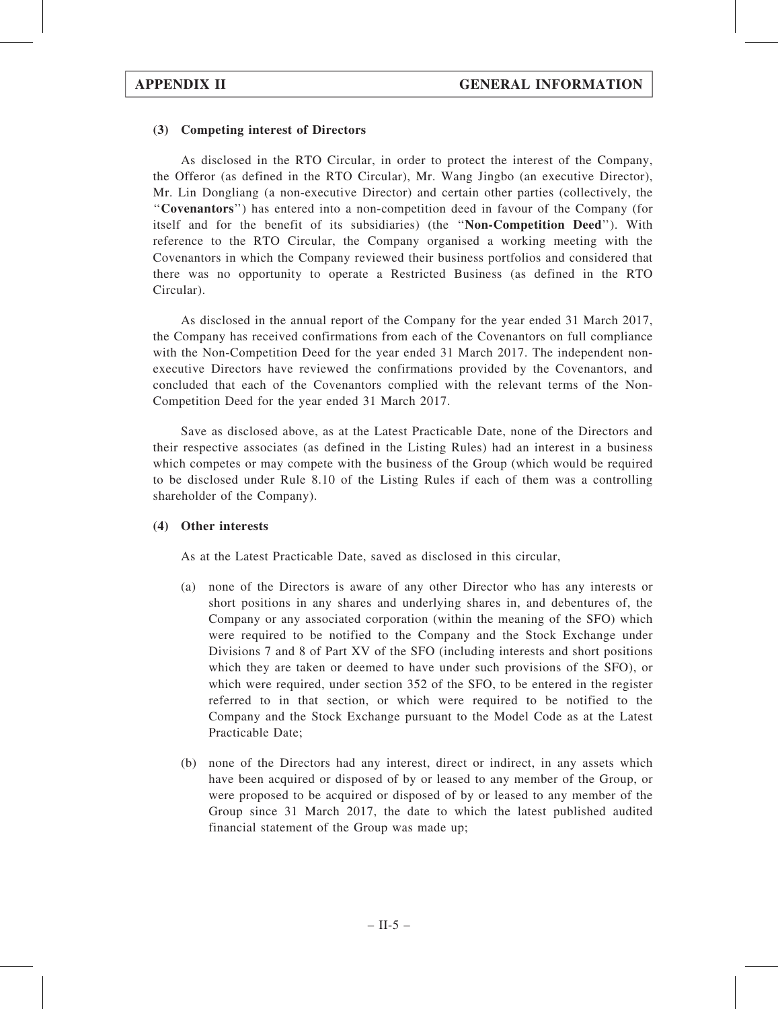### (3) Competing interest of Directors

As disclosed in the RTO Circular, in order to protect the interest of the Company, the Offeror (as defined in the RTO Circular), Mr. Wang Jingbo (an executive Director), Mr. Lin Dongliang (a non-executive Director) and certain other parties (collectively, the ''Covenantors'') has entered into a non-competition deed in favour of the Company (for itself and for the benefit of its subsidiaries) (the ''Non-Competition Deed''). With reference to the RTO Circular, the Company organised a working meeting with the Covenantors in which the Company reviewed their business portfolios and considered that there was no opportunity to operate a Restricted Business (as defined in the RTO Circular).

As disclosed in the annual report of the Company for the year ended 31 March 2017, the Company has received confirmations from each of the Covenantors on full compliance with the Non-Competition Deed for the year ended 31 March 2017. The independent nonexecutive Directors have reviewed the confirmations provided by the Covenantors, and concluded that each of the Covenantors complied with the relevant terms of the Non-Competition Deed for the year ended 31 March 2017.

Save as disclosed above, as at the Latest Practicable Date, none of the Directors and their respective associates (as defined in the Listing Rules) had an interest in a business which competes or may compete with the business of the Group (which would be required to be disclosed under Rule 8.10 of the Listing Rules if each of them was a controlling shareholder of the Company).

#### (4) Other interests

As at the Latest Practicable Date, saved as disclosed in this circular,

- (a) none of the Directors is aware of any other Director who has any interests or short positions in any shares and underlying shares in, and debentures of, the Company or any associated corporation (within the meaning of the SFO) which were required to be notified to the Company and the Stock Exchange under Divisions 7 and 8 of Part XV of the SFO (including interests and short positions which they are taken or deemed to have under such provisions of the SFO), or which were required, under section 352 of the SFO, to be entered in the register referred to in that section, or which were required to be notified to the Company and the Stock Exchange pursuant to the Model Code as at the Latest Practicable Date;
- (b) none of the Directors had any interest, direct or indirect, in any assets which have been acquired or disposed of by or leased to any member of the Group, or were proposed to be acquired or disposed of by or leased to any member of the Group since 31 March 2017, the date to which the latest published audited financial statement of the Group was made up;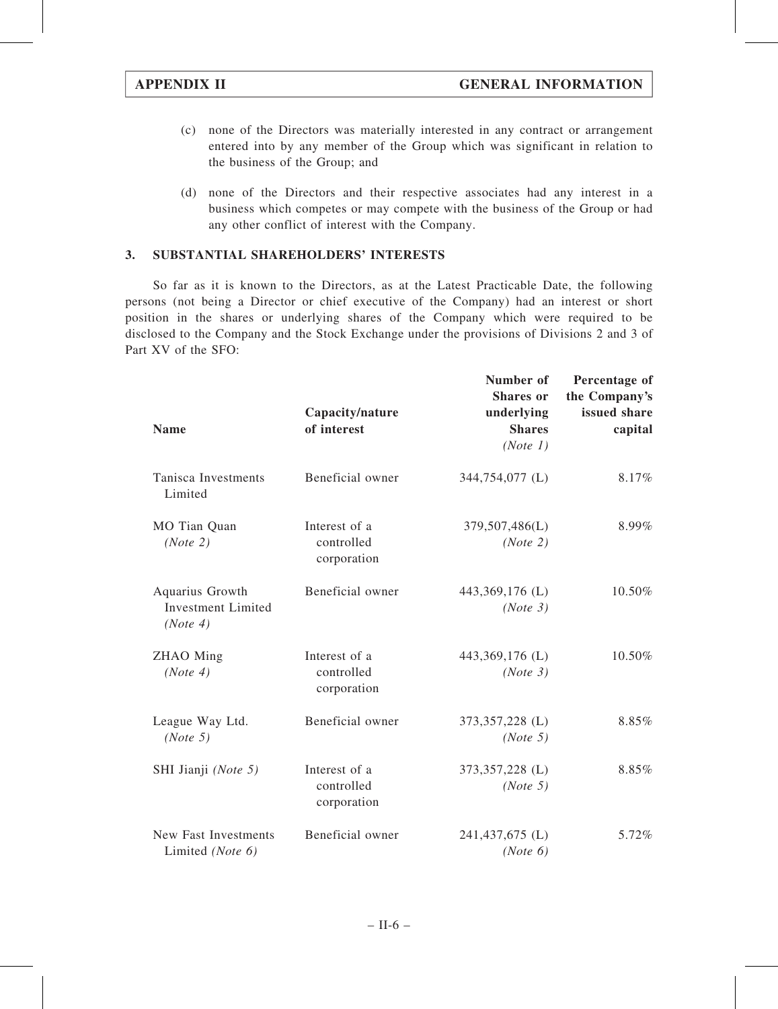- (c) none of the Directors was materially interested in any contract or arrangement entered into by any member of the Group which was significant in relation to the business of the Group; and
- (d) none of the Directors and their respective associates had any interest in a business which competes or may compete with the business of the Group or had any other conflict of interest with the Company.

# 3. SUBSTANTIAL SHAREHOLDERS' INTERESTS

So far as it is known to the Directors, as at the Latest Practicable Date, the following persons (not being a Director or chief executive of the Company) had an interest or short position in the shares or underlying shares of the Company which were required to be disclosed to the Company and the Stock Exchange under the provisions of Divisions 2 and 3 of Part XV of the SFO:

| <b>Name</b>                                              | Capacity/nature<br>of interest             | Number of<br><b>Shares</b> or<br>underlying<br><b>Shares</b><br>(Note 1) | Percentage of<br>the Company's<br>issued share<br>capital |
|----------------------------------------------------------|--------------------------------------------|--------------------------------------------------------------------------|-----------------------------------------------------------|
| Tanisca Investments<br>Limited                           | Beneficial owner                           | 344,754,077 (L)                                                          | 8.17%                                                     |
| MO Tian Quan<br>(Note 2)                                 | Interest of a<br>controlled<br>corporation | 379,507,486(L)<br>(Note 2)                                               | 8.99%                                                     |
| Aquarius Growth<br><b>Investment Limited</b><br>(Note 4) | Beneficial owner                           | 443,369,176 (L)<br>(Note 3)                                              | 10.50%                                                    |
| ZHAO Ming<br>(Note 4)                                    | Interest of a<br>controlled<br>corporation | 443,369,176 (L)<br>(Note 3)                                              | 10.50%                                                    |
| League Way Ltd.<br>(Note 5)                              | Beneficial owner                           | 373,357,228 (L)<br>(Note 5)                                              | 8.85%                                                     |
| SHI Jianji (Note 5)                                      | Interest of a<br>controlled<br>corporation | 373,357,228 (L)<br>(Note 5)                                              | 8.85%                                                     |
| <b>New Fast Investments</b><br>Limited (Note 6)          | Beneficial owner                           | 241,437,675 (L)<br>(Note 6)                                              | 5.72%                                                     |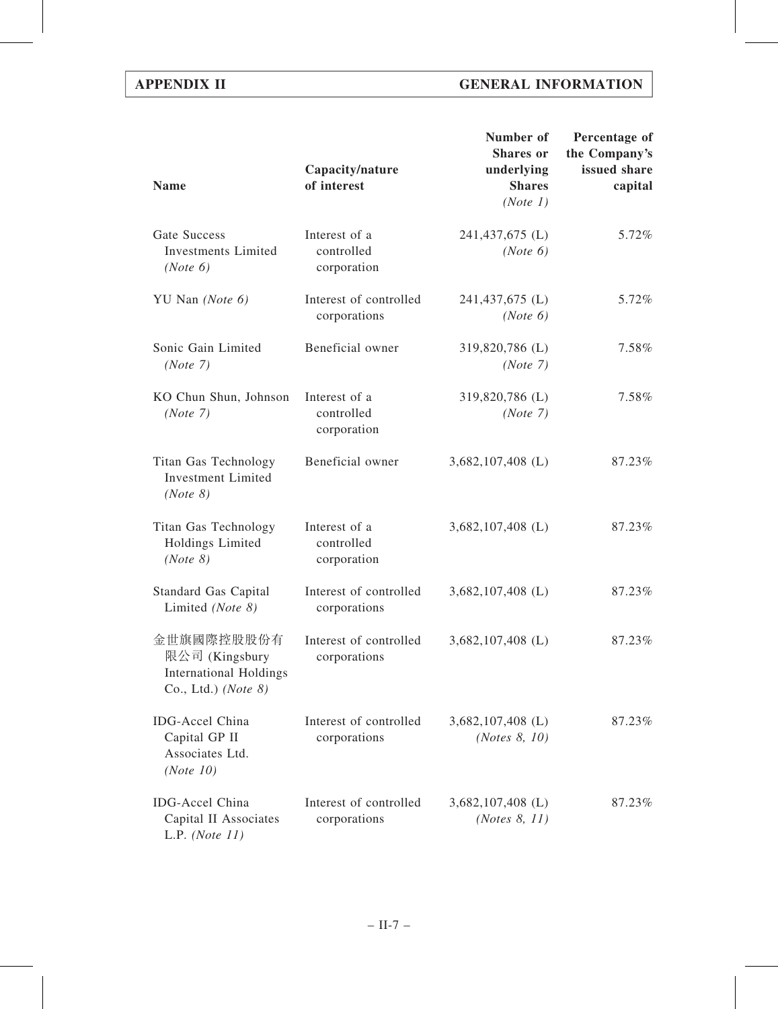| <b>Name</b>                                                                          | Capacity/nature<br>of interest             | Number of<br><b>Shares</b> or<br>underlying<br><b>Shares</b><br>(Note 1) | Percentage of<br>the Company's<br>issued share<br>capital |
|--------------------------------------------------------------------------------------|--------------------------------------------|--------------------------------------------------------------------------|-----------------------------------------------------------|
| Gate Success<br><b>Investments Limited</b><br>(Note 6)                               | Interest of a<br>controlled<br>corporation | 241,437,675 (L)<br>(Note 6)                                              | 5.72%                                                     |
| YU Nan (Note 6)                                                                      | Interest of controlled<br>corporations     | 241,437,675 (L)<br>(Note 6)                                              | 5.72%                                                     |
| Sonic Gain Limited<br>(Note 7)                                                       | Beneficial owner                           | 319,820,786 (L)<br>(Note 7)                                              | 7.58%                                                     |
| KO Chun Shun, Johnson<br>(Note 7)                                                    | Interest of a<br>controlled<br>corporation | 319,820,786 (L)<br>(Note 7)                                              | 7.58%                                                     |
| Titan Gas Technology<br><b>Investment Limited</b><br>(Note 8)                        | Beneficial owner                           | 3,682,107,408 (L)                                                        | 87.23%                                                    |
| Titan Gas Technology<br>Holdings Limited<br>(Note 8)                                 | Interest of a<br>controlled<br>corporation | $3,682,107,408$ (L)                                                      | 87.23%                                                    |
| Standard Gas Capital<br>Limited (Note 8)                                             | Interest of controlled<br>corporations     | $3,682,107,408$ (L)                                                      | 87.23%                                                    |
| 金世旗國際控股股份有<br>限公司 (Kingsbury<br><b>International Holdings</b><br>Co., Ltd.) (Note 8) | Interest of controlled<br>corporations     | 3,682,107,408 (L)                                                        | 87.23%                                                    |
| <b>IDG-Accel China</b><br>Capital GP II<br>Associates Ltd.<br>(Note 10)              | Interest of controlled<br>corporations     | $3,682,107,408$ (L)<br>(Notes $8, 10$ )                                  | 87.23%                                                    |
| <b>IDG-Accel China</b><br>Capital II Associates<br>L.P. (Note $11$ )                 | Interest of controlled<br>corporations     | $3,682,107,408$ (L)<br>(Notes 8, 11)                                     | 87.23%                                                    |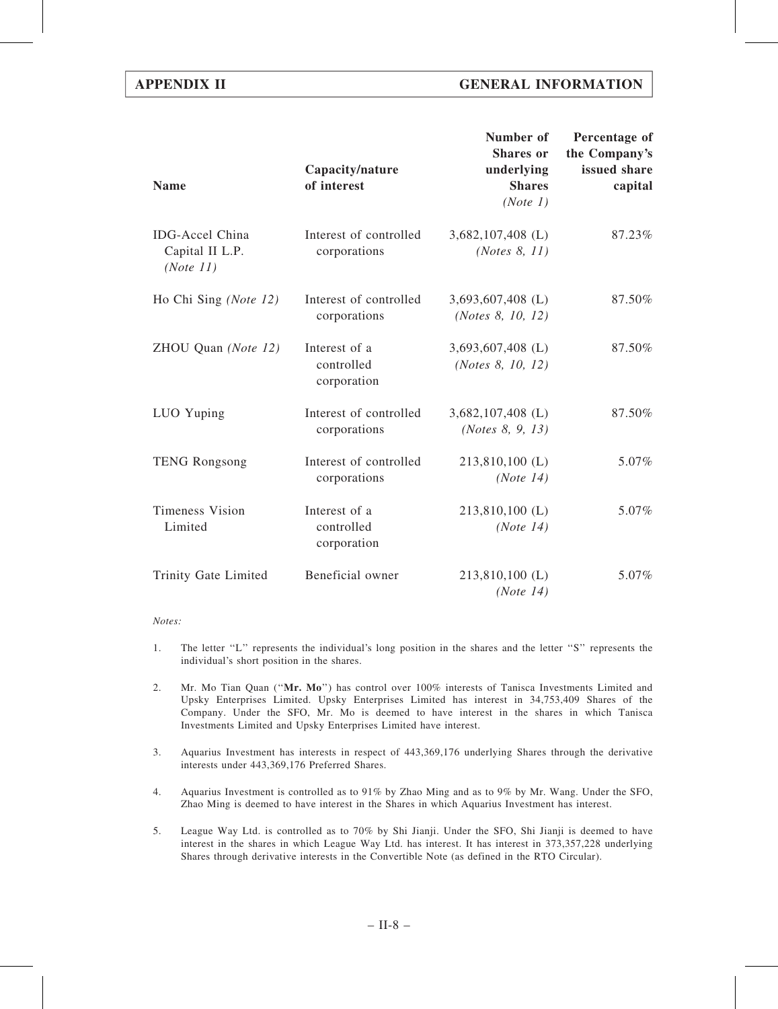| <b>Name</b>                                     | Capacity/nature<br>of interest             | Number of<br><b>Shares</b> or<br>underlying<br><b>Shares</b><br>(Note 1) | Percentage of<br>the Company's<br>issued share<br>capital |
|-------------------------------------------------|--------------------------------------------|--------------------------------------------------------------------------|-----------------------------------------------------------|
| IDG-Accel China<br>Capital II L.P.<br>(Note 11) | Interest of controlled<br>corporations     | $3,682,107,408$ (L)<br>(Notes 8, 11)                                     | 87.23%                                                    |
| Ho Chi Sing (Note 12)                           | Interest of controlled<br>corporations     | $3,693,607,408$ (L)<br>( <i>Notes 8, 10, 12</i> )                        | 87.50%                                                    |
| ZHOU Quan (Note 12)                             | Interest of a<br>controlled<br>corporation | 3,693,607,408 (L)<br>(Notes 8, 10, 12)                                   | 87.50%                                                    |
| LUO Yuping                                      | Interest of controlled<br>corporations     | 3,682,107,408 (L)<br>(Notes $8, 9, 13$ )                                 | 87.50%                                                    |
| <b>TENG Rongsong</b>                            | Interest of controlled<br>corporations     | 213,810,100 (L)<br>(Note 14)                                             | 5.07%                                                     |
| <b>Timeness Vision</b><br>Limited               | Interest of a<br>controlled<br>corporation | 213,810,100 (L)<br>(Note 14)                                             | 5.07%                                                     |
| Trinity Gate Limited                            | Beneficial owner                           | 213,810,100 (L)<br>(Note 14)                                             | 5.07%                                                     |

#### Notes:

- 1. The letter "L" represents the individual's long position in the shares and the letter "S" represents the individual's short position in the shares.
- 2. Mr. Mo Tian Quan ("Mr. Mo") has control over 100% interests of Tanisca Investments Limited and Upsky Enterprises Limited. Upsky Enterprises Limited has interest in 34,753,409 Shares of the Company. Under the SFO, Mr. Mo is deemed to have interest in the shares in which Tanisca Investments Limited and Upsky Enterprises Limited have interest.
- 3. Aquarius Investment has interests in respect of 443,369,176 underlying Shares through the derivative interests under 443,369,176 Preferred Shares.
- 4. Aquarius Investment is controlled as to 91% by Zhao Ming and as to 9% by Mr. Wang. Under the SFO, Zhao Ming is deemed to have interest in the Shares in which Aquarius Investment has interest.
- 5. League Way Ltd. is controlled as to 70% by Shi Jianji. Under the SFO, Shi Jianji is deemed to have interest in the shares in which League Way Ltd. has interest. It has interest in 373,357,228 underlying Shares through derivative interests in the Convertible Note (as defined in the RTO Circular).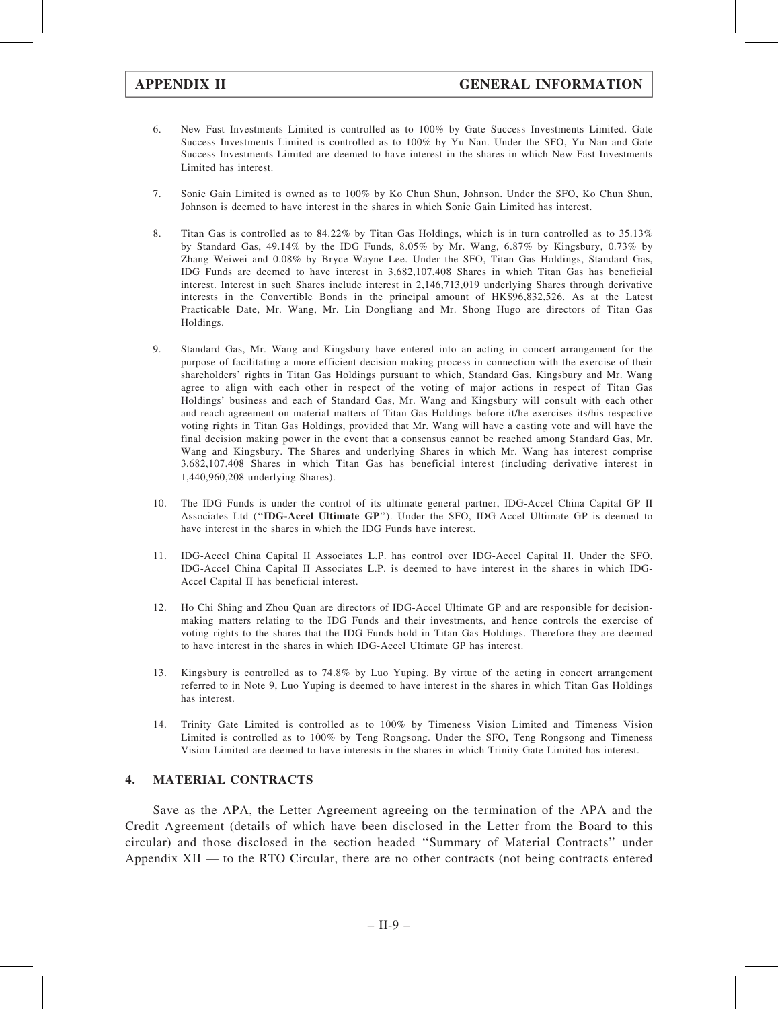- 6. New Fast Investments Limited is controlled as to 100% by Gate Success Investments Limited. Gate Success Investments Limited is controlled as to 100% by Yu Nan. Under the SFO, Yu Nan and Gate Success Investments Limited are deemed to have interest in the shares in which New Fast Investments Limited has interest.
- 7. Sonic Gain Limited is owned as to 100% by Ko Chun Shun, Johnson. Under the SFO, Ko Chun Shun, Johnson is deemed to have interest in the shares in which Sonic Gain Limited has interest.
- 8. Titan Gas is controlled as to 84.22% by Titan Gas Holdings, which is in turn controlled as to 35.13% by Standard Gas, 49.14% by the IDG Funds, 8.05% by Mr. Wang, 6.87% by Kingsbury, 0.73% by Zhang Weiwei and 0.08% by Bryce Wayne Lee. Under the SFO, Titan Gas Holdings, Standard Gas, IDG Funds are deemed to have interest in 3,682,107,408 Shares in which Titan Gas has beneficial interest. Interest in such Shares include interest in 2,146,713,019 underlying Shares through derivative interests in the Convertible Bonds in the principal amount of HK\$96,832,526. As at the Latest Practicable Date, Mr. Wang, Mr. Lin Dongliang and Mr. Shong Hugo are directors of Titan Gas Holdings.
- 9. Standard Gas, Mr. Wang and Kingsbury have entered into an acting in concert arrangement for the purpose of facilitating a more efficient decision making process in connection with the exercise of their shareholders' rights in Titan Gas Holdings pursuant to which, Standard Gas, Kingsbury and Mr. Wang agree to align with each other in respect of the voting of major actions in respect of Titan Gas Holdings' business and each of Standard Gas, Mr. Wang and Kingsbury will consult with each other and reach agreement on material matters of Titan Gas Holdings before it/he exercises its/his respective voting rights in Titan Gas Holdings, provided that Mr. Wang will have a casting vote and will have the final decision making power in the event that a consensus cannot be reached among Standard Gas, Mr. Wang and Kingsbury. The Shares and underlying Shares in which Mr. Wang has interest comprise 3,682,107,408 Shares in which Titan Gas has beneficial interest (including derivative interest in 1,440,960,208 underlying Shares).
- 10. The IDG Funds is under the control of its ultimate general partner, IDG-Accel China Capital GP II Associates Ltd (''IDG-Accel Ultimate GP''). Under the SFO, IDG-Accel Ultimate GP is deemed to have interest in the shares in which the IDG Funds have interest.
- 11. IDG-Accel China Capital II Associates L.P. has control over IDG-Accel Capital II. Under the SFO, IDG-Accel China Capital II Associates L.P. is deemed to have interest in the shares in which IDG-Accel Capital II has beneficial interest.
- 12. Ho Chi Shing and Zhou Quan are directors of IDG-Accel Ultimate GP and are responsible for decisionmaking matters relating to the IDG Funds and their investments, and hence controls the exercise of voting rights to the shares that the IDG Funds hold in Titan Gas Holdings. Therefore they are deemed to have interest in the shares in which IDG-Accel Ultimate GP has interest.
- 13. Kingsbury is controlled as to 74.8% by Luo Yuping. By virtue of the acting in concert arrangement referred to in Note 9, Luo Yuping is deemed to have interest in the shares in which Titan Gas Holdings has interest.
- 14. Trinity Gate Limited is controlled as to 100% by Timeness Vision Limited and Timeness Vision Limited is controlled as to 100% by Teng Rongsong. Under the SFO, Teng Rongsong and Timeness Vision Limited are deemed to have interests in the shares in which Trinity Gate Limited has interest.

#### 4. MATERIAL CONTRACTS

Save as the APA, the Letter Agreement agreeing on the termination of the APA and the Credit Agreement (details of which have been disclosed in the Letter from the Board to this circular) and those disclosed in the section headed ''Summary of Material Contracts'' under Appendix XII — to the RTO Circular, there are no other contracts (not being contracts entered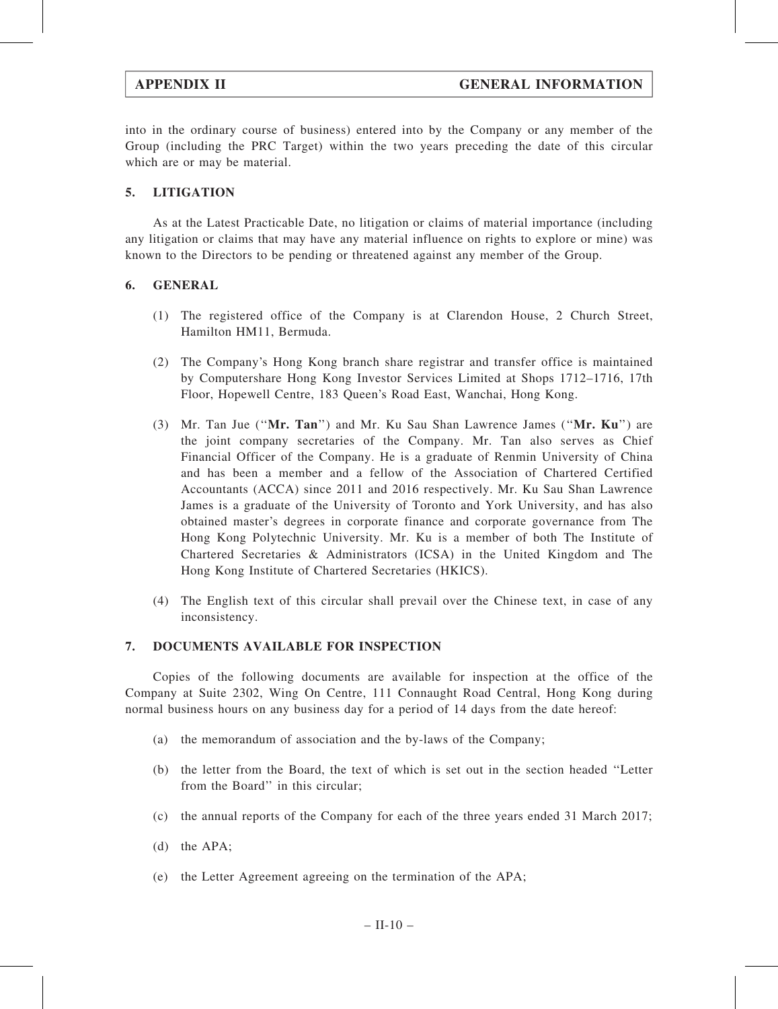into in the ordinary course of business) entered into by the Company or any member of the Group (including the PRC Target) within the two years preceding the date of this circular which are or may be material.

# 5. LITIGATION

As at the Latest Practicable Date, no litigation or claims of material importance (including any litigation or claims that may have any material influence on rights to explore or mine) was known to the Directors to be pending or threatened against any member of the Group.

# 6. GENERAL

- (1) The registered office of the Company is at Clarendon House, 2 Church Street, Hamilton HM11, Bermuda.
- (2) The Company's Hong Kong branch share registrar and transfer office is maintained by Computershare Hong Kong Investor Services Limited at Shops 1712–1716, 17th Floor, Hopewell Centre, 183 Queen's Road East, Wanchai, Hong Kong.
- (3) Mr. Tan Jue (''Mr. Tan'') and Mr. Ku Sau Shan Lawrence James (''Mr. Ku'') are the joint company secretaries of the Company. Mr. Tan also serves as Chief Financial Officer of the Company. He is a graduate of Renmin University of China and has been a member and a fellow of the Association of Chartered Certified Accountants (ACCA) since 2011 and 2016 respectively. Mr. Ku Sau Shan Lawrence James is a graduate of the University of Toronto and York University, and has also obtained master's degrees in corporate finance and corporate governance from The Hong Kong Polytechnic University. Mr. Ku is a member of both The Institute of Chartered Secretaries & Administrators (ICSA) in the United Kingdom and The Hong Kong Institute of Chartered Secretaries (HKICS).
- (4) The English text of this circular shall prevail over the Chinese text, in case of any inconsistency.

# 7. DOCUMENTS AVAILABLE FOR INSPECTION

Copies of the following documents are available for inspection at the office of the Company at Suite 2302, Wing On Centre, 111 Connaught Road Central, Hong Kong during normal business hours on any business day for a period of 14 days from the date hereof:

- (a) the memorandum of association and the by-laws of the Company;
- (b) the letter from the Board, the text of which is set out in the section headed ''Letter from the Board'' in this circular;
- (c) the annual reports of the Company for each of the three years ended 31 March 2017;
- (d) the APA;
- (e) the Letter Agreement agreeing on the termination of the APA;